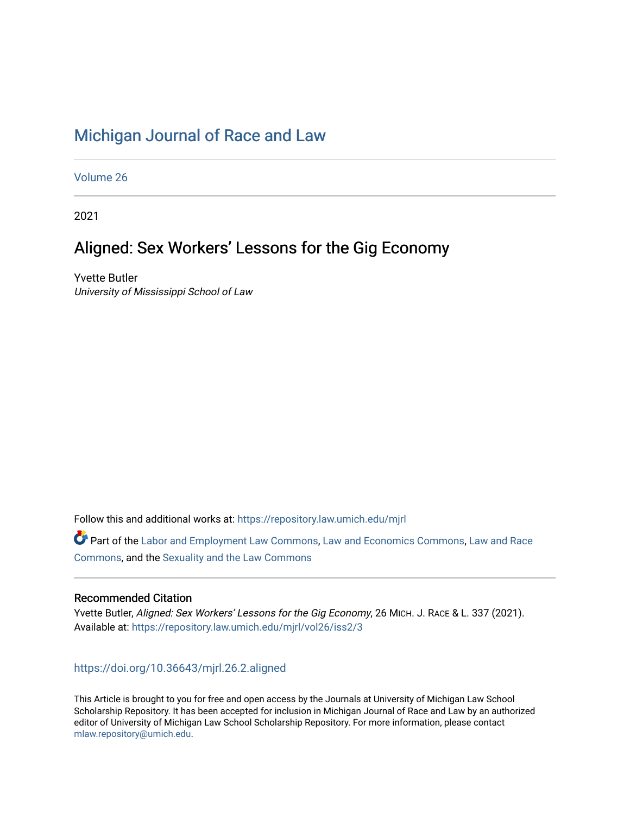## [Michigan Journal of Race and Law](https://repository.law.umich.edu/mjrl)

[Volume 26](https://repository.law.umich.edu/mjrl/vol26)

2021

# Aligned: Sex Workers' Lessons for the Gig Economy

Yvette Butler University of Mississippi School of Law

Follow this and additional works at: [https://repository.law.umich.edu/mjrl](https://repository.law.umich.edu/mjrl?utm_source=repository.law.umich.edu%2Fmjrl%2Fvol26%2Fiss2%2F3&utm_medium=PDF&utm_campaign=PDFCoverPages) 

Part of the [Labor and Employment Law Commons](http://network.bepress.com/hgg/discipline/909?utm_source=repository.law.umich.edu%2Fmjrl%2Fvol26%2Fiss2%2F3&utm_medium=PDF&utm_campaign=PDFCoverPages), [Law and Economics Commons,](http://network.bepress.com/hgg/discipline/612?utm_source=repository.law.umich.edu%2Fmjrl%2Fvol26%2Fiss2%2F3&utm_medium=PDF&utm_campaign=PDFCoverPages) [Law and Race](http://network.bepress.com/hgg/discipline/1300?utm_source=repository.law.umich.edu%2Fmjrl%2Fvol26%2Fiss2%2F3&utm_medium=PDF&utm_campaign=PDFCoverPages) [Commons](http://network.bepress.com/hgg/discipline/1300?utm_source=repository.law.umich.edu%2Fmjrl%2Fvol26%2Fiss2%2F3&utm_medium=PDF&utm_campaign=PDFCoverPages), and the [Sexuality and the Law Commons](http://network.bepress.com/hgg/discipline/877?utm_source=repository.law.umich.edu%2Fmjrl%2Fvol26%2Fiss2%2F3&utm_medium=PDF&utm_campaign=PDFCoverPages)

#### Recommended Citation

Yvette Butler, Aligned: Sex Workers' Lessons for the Gig Economy, 26 MICH. J. RACE & L. 337 (2021). Available at: [https://repository.law.umich.edu/mjrl/vol26/iss2/3](https://repository.law.umich.edu/mjrl/vol26/iss2/3?utm_source=repository.law.umich.edu%2Fmjrl%2Fvol26%2Fiss2%2F3&utm_medium=PDF&utm_campaign=PDFCoverPages) 

<https://doi.org/10.36643/mjrl.26.2.aligned>

This Article is brought to you for free and open access by the Journals at University of Michigan Law School Scholarship Repository. It has been accepted for inclusion in Michigan Journal of Race and Law by an authorized editor of University of Michigan Law School Scholarship Repository. For more information, please contact [mlaw.repository@umich.edu.](mailto:mlaw.repository@umich.edu)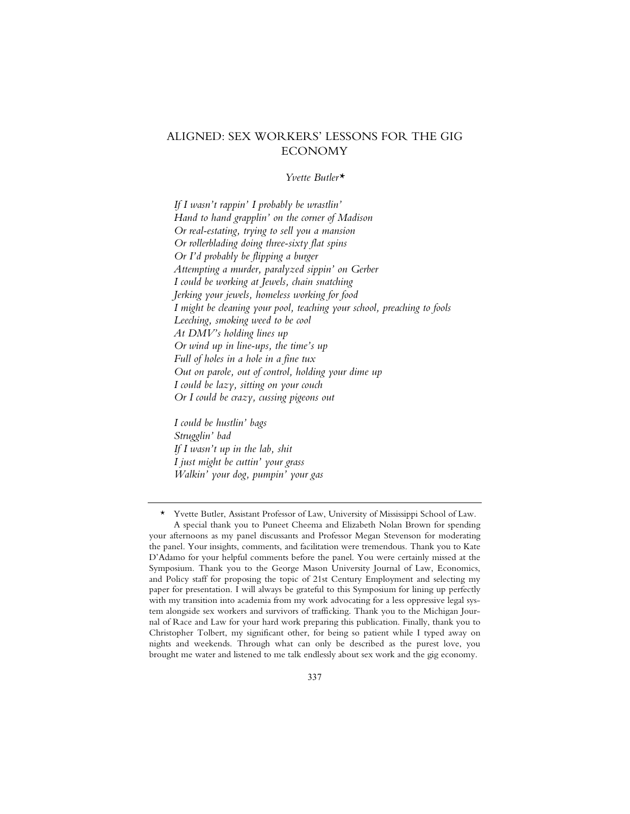### ALIGNED: SEX WORKERS' LESSONS FOR THE GIG ECONOMY

#### *Yvette Butler\**

*If I wasn't rappin' I probably be wrastlin' Hand to hand grapplin' on the corner of Madison Or real-estating, trying to sell you a mansion Or rollerblading doing three-sixty flat spins Or I'd probably be flipping a burger Attempting a murder, paralyzed sippin' on Gerber I could be working at Jewels, chain snatching Jerking your jewels, homeless working for food I might be cleaning your pool, teaching your school, preaching to fools Leeching, smoking weed to be cool At DMV's holding lines up Or wind up in line-ups, the time's up Full of holes in a hole in a fine tux Out on parole, out of control, holding your dime up I could be lazy, sitting on your couch Or I could be crazy, cussing pigeons out*

*I could be hustlin' bags Strugglin' bad If I wasn't up in the lab, shit I just might be cuttin' your grass Walkin' your dog, pumpin' your gas*

<sup>\*</sup> Yvette Butler, Assistant Professor of Law, University of Mississippi School of Law.

A special thank you to Puneet Cheema and Elizabeth Nolan Brown for spending your afternoons as my panel discussants and Professor Megan Stevenson for moderating the panel. Your insights, comments, and facilitation were tremendous. Thank you to Kate D'Adamo for your helpful comments before the panel. You were certainly missed at the Symposium. Thank you to the George Mason University Journal of Law, Economics, and Policy staff for proposing the topic of 21st Century Employment and selecting my paper for presentation. I will always be grateful to this Symposium for lining up perfectly with my transition into academia from my work advocating for a less oppressive legal system alongside sex workers and survivors of trafficking. Thank you to the Michigan Journal of Race and Law for your hard work preparing this publication. Finally, thank you to Christopher Tolbert, my significant other, for being so patient while I typed away on nights and weekends. Through what can only be described as the purest love, you brought me water and listened to me talk endlessly about sex work and the gig economy.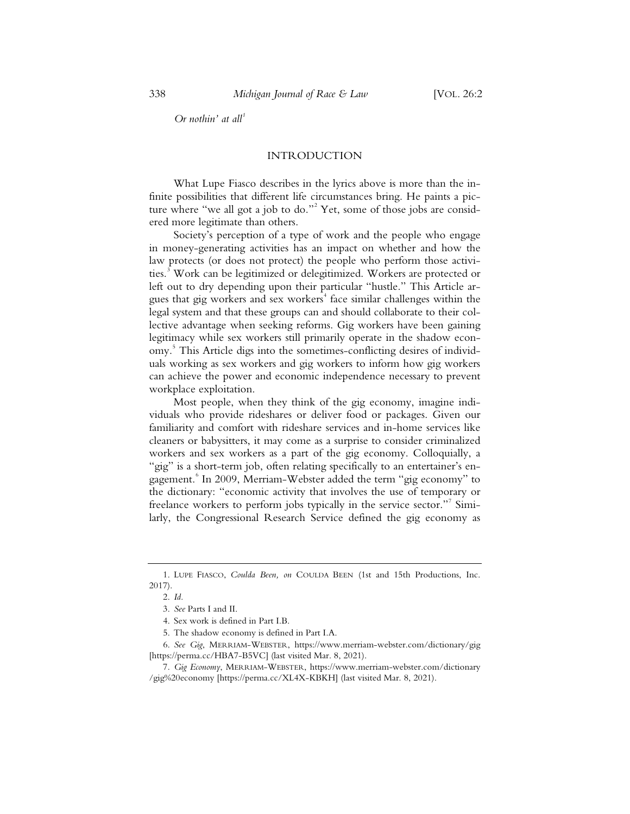*Or nothin' at all<sup>1</sup>*

#### INTRODUCTION

What Lupe Fiasco describes in the lyrics above is more than the infinite possibilities that different life circumstances bring. He paints a picture where "we all got a job to do."<sup>2</sup> Yet, some of those jobs are considered more legitimate than others.

Society's perception of a type of work and the people who engage in money-generating activities has an impact on whether and how the law protects (or does not protect) the people who perform those activities.<sup>3</sup> Work can be legitimized or delegitimized. Workers are protected or left out to dry depending upon their particular "hustle." This Article argues that gig workers and sex workers<sup>4</sup> face similar challenges within the legal system and that these groups can and should collaborate to their collective advantage when seeking reforms. Gig workers have been gaining legitimacy while sex workers still primarily operate in the shadow economy.<sup>5</sup> This Article digs into the sometimes-conflicting desires of individuals working as sex workers and gig workers to inform how gig workers can achieve the power and economic independence necessary to prevent workplace exploitation.

Most people, when they think of the gig economy, imagine individuals who provide rideshares or deliver food or packages. Given our familiarity and comfort with rideshare services and in-home services like cleaners or babysitters, it may come as a surprise to consider criminalized workers and sex workers as a part of the gig economy. Colloquially, a "gig" is a short-term job, often relating specifically to an entertainer's engagement.<sup>8</sup> In 2009, Merriam-Webster added the term "gig economy" to the dictionary: "economic activity that involves the use of temporary or freelance workers to perform jobs typically in the service sector."<sup>7</sup> Similarly, the Congressional Research Service defined the gig economy as

<sup>1.</sup> LUPE FIASCO, *Coulda Been, on* COULDA BEEN (1st and 15th Productions, Inc. 2017).

<sup>2.</sup> *Id.*

<sup>3.</sup> *See* Parts I and II.

<sup>4.</sup> Sex work is defined in Part I.B.

<sup>5.</sup> The shadow economy is defined in Part I.A.

<sup>6.</sup> *See Gig*, MERRIAM-WEBSTER, https://www.merriam-webster.com/dictionary/gig [https://perma.cc/HBA7-B5VC] (last visited Mar. 8, 2021).

<sup>7.</sup> *Gig Economy*, MERRIAM-WEBSTER, https://www.merriam-webster.com/dictionary /gig%20economy [https://perma.cc/XL4X-KBKH] (last visited Mar. 8, 2021).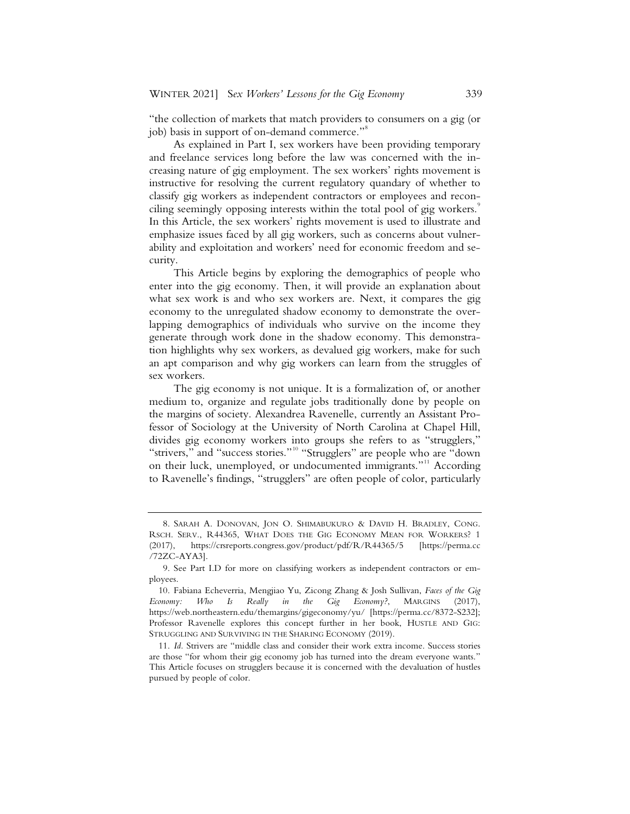"the collection of markets that match providers to consumers on a gig (or job) basis in support of on-demand commerce."<sup>8</sup>

As explained in Part I, sex workers have been providing temporary and freelance services long before the law was concerned with the increasing nature of gig employment. The sex workers' rights movement is instructive for resolving the current regulatory quandary of whether to classify gig workers as independent contractors or employees and reconciling seemingly opposing interests within the total pool of gig workers.<sup>9</sup> In this Article, the sex workers' rights movement is used to illustrate and emphasize issues faced by all gig workers, such as concerns about vulnerability and exploitation and workers' need for economic freedom and security.

This Article begins by exploring the demographics of people who enter into the gig economy. Then, it will provide an explanation about what sex work is and who sex workers are. Next, it compares the gig economy to the unregulated shadow economy to demonstrate the overlapping demographics of individuals who survive on the income they generate through work done in the shadow economy. This demonstration highlights why sex workers, as devalued gig workers, make for such an apt comparison and why gig workers can learn from the struggles of sex workers.

The gig economy is not unique. It is a formalization of, or another medium to, organize and regulate jobs traditionally done by people on the margins of society. Alexandrea Ravenelle, currently an Assistant Professor of Sociology at the University of North Carolina at Chapel Hill, divides gig economy workers into groups she refers to as "strugglers," "strivers," and "success stories."<sup>10</sup> "Strugglers" are people who are "down on their luck, unemployed, or undocumented immigrants."<sup>11</sup> According to Ravenelle's findings, "strugglers" are often people of color, particularly

<sup>8.</sup> SARAH A. DONOVAN, JON O. SHIMABUKURO & DAVID H. BRADLEY, CONG. RSCH. SERV., R44365, WHAT DOES THE GIG ECONOMY MEAN FOR WORKERS? 1 (2017), https://crsreports.congress.gov/product/pdf/R/R44365/5 [https://perma.cc /72ZC-AYA3].

<sup>9.</sup> See Part I.D for more on classifying workers as independent contractors or employees.

<sup>10.</sup> Fabiana Echeverria, Mengjiao Yu, Zicong Zhang & Josh Sullivan, *Faces of the Gig Economy: Who Is Really in the Gig Economy?*, MARGINS (2017), https://web.northeastern.edu/themargins/gigeconomy/yu/ [https://perma.cc/8372-S232]; Professor Ravenelle explores this concept further in her book, HUSTLE AND GIG: STRUGGLING AND SURVIVING IN THE SHARING ECONOMY (2019).

<sup>11.</sup> *Id.* Strivers are "middle class and consider their work extra income. Success stories are those "for whom their gig economy job has turned into the dream everyone wants." This Article focuses on strugglers because it is concerned with the devaluation of hustles pursued by people of color.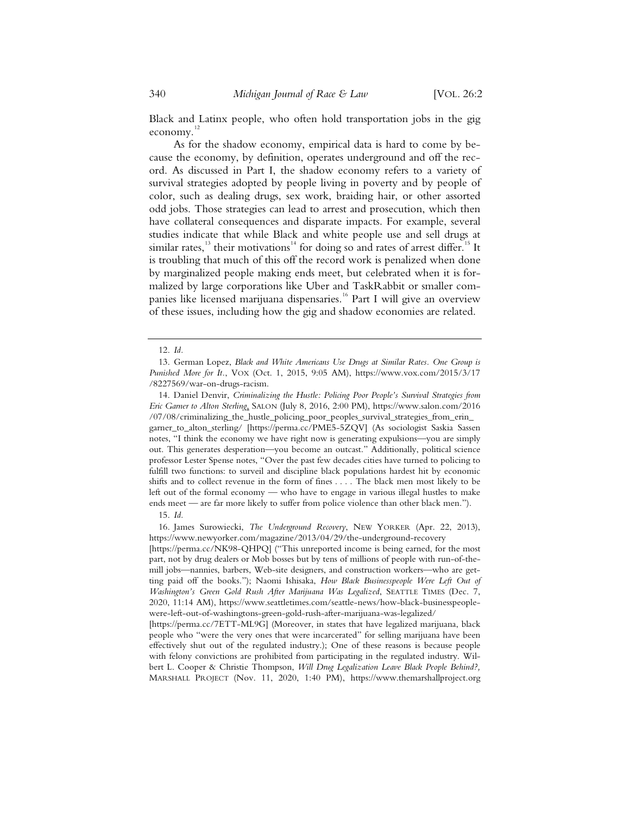Black and Latinx people, who often hold transportation jobs in the gig economy.<sup>12</sup>

As for the shadow economy, empirical data is hard to come by because the economy, by definition, operates underground and off the record. As discussed in Part I, the shadow economy refers to a variety of survival strategies adopted by people living in poverty and by people of color, such as dealing drugs, sex work, braiding hair, or other assorted odd jobs. Those strategies can lead to arrest and prosecution, which then have collateral consequences and disparate impacts. For example, several studies indicate that while Black and white people use and sell drugs at similar rates,<sup>13</sup> their motivations<sup>14</sup> for doing so and rates of arrest differ.<sup>15</sup> It is troubling that much of this off the record work is penalized when done by marginalized people making ends meet, but celebrated when it is formalized by large corporations like Uber and TaskRabbit or smaller companies like licensed marijuana dispensaries.<sup>16</sup> Part I will give an overview of these issues, including how the gig and shadow economies are related.

14. Daniel Denvir, *Criminalizing the Hustle: Policing Poor People's Survival Strategies from Eric Garner to Alton Sterling*, SALON (July 8, 2016, 2:00 PM), https://www.salon.com/2016 /07/08/criminalizing\_the\_hustle\_policing\_poor\_peoples\_survival\_strategies\_from\_erin\_ garner\_to\_alton\_sterling/ [https://perma.cc/PME5-5ZQV] (As sociologist Saskia Sassen notes, "I think the economy we have right now is generating expulsions—you are simply out. This generates desperation—you become an outcast." Additionally, political science professor Lester Spense notes, "Over the past few decades cities have turned to policing to fulfill two functions: to surveil and discipline black populations hardest hit by economic shifts and to collect revenue in the form of fines . . . . The black men most likely to be left out of the formal economy — who have to engage in various illegal hustles to make ends meet — are far more likely to suffer from police violence than other black men.").

16. James Surowiecki, *The Underground Recovery*, NEW YORKER (Apr. 22, 2013), https://www.newyorker.com/magazine/2013/04/29/the-underground-recovery

[https://perma.cc/NK98-QHPQ] ("This unreported income is being earned, for the most part, not by drug dealers or Mob bosses but by tens of millions of people with run-of-themill jobs—nannies, barbers, Web-site designers, and construction workers—who are getting paid off the books."); Naomi Ishisaka, *How Black Businesspeople Were Left Out of Washington's Green Gold Rush After Marijuana Was Legalized*, SEATTLE TIMES (Dec. 7, 2020, 11:14 AM), https://www.seattletimes.com/seattle-news/how-black-businesspeoplewere-left-out-of-washingtons-green-gold-rush-after-marijuana-was-legalized/

[https://perma.cc/7ETT-ML9G] (Moreover, in states that have legalized marijuana, black people who "were the very ones that were incarcerated" for selling marijuana have been effectively shut out of the regulated industry.); One of these reasons is because people with felony convictions are prohibited from participating in the regulated industry. Wilbert L. Cooper & Christie Thompson, *Will Drug Legalization Leave Black People Behind?,*  MARSHALL PROJECT (Nov. 11, 2020, 1:40 PM), https://www.themarshallproject.org

<sup>12.</sup> *Id.*

<sup>13.</sup> German Lopez, *Black and White Americans Use Drugs at Similar Rates. One Group is Punished More for It.*, VOX (Oct. 1, 2015, 9:05 AM), https://www.vox.com/2015/3/17 /8227569/war-on-drugs-racism.

<sup>15.</sup> *Id.*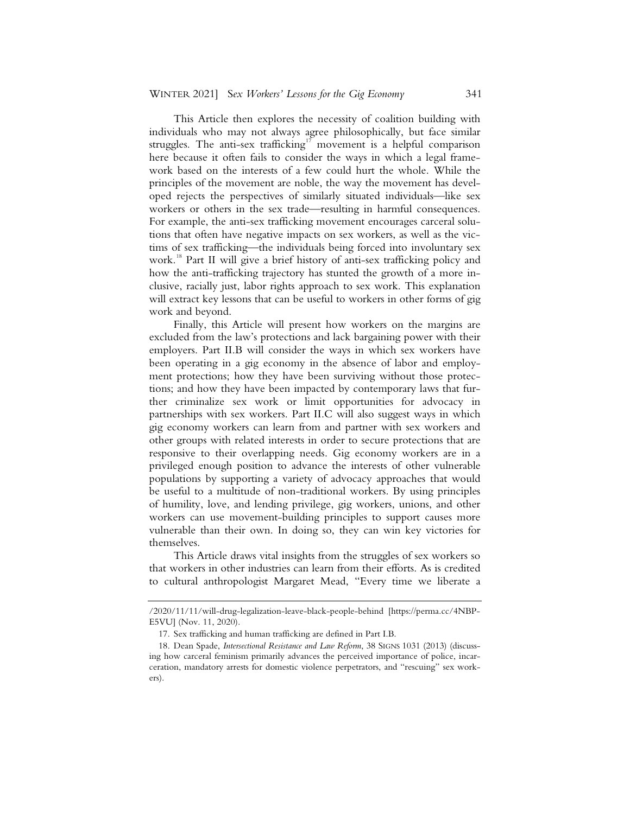This Article then explores the necessity of coalition building with individuals who may not always agree philosophically, but face similar struggles. The anti-sex trafficking<sup>17</sup> movement is a helpful comparison here because it often fails to consider the ways in which a legal framework based on the interests of a few could hurt the whole. While the principles of the movement are noble, the way the movement has developed rejects the perspectives of similarly situated individuals—like sex workers or others in the sex trade—resulting in harmful consequences. For example, the anti-sex trafficking movement encourages carceral solutions that often have negative impacts on sex workers, as well as the victims of sex trafficking—the individuals being forced into involuntary sex work.<sup>18</sup> Part II will give a brief history of anti-sex trafficking policy and how the anti-trafficking trajectory has stunted the growth of a more inclusive, racially just, labor rights approach to sex work. This explanation will extract key lessons that can be useful to workers in other forms of gig work and beyond.

Finally, this Article will present how workers on the margins are excluded from the law's protections and lack bargaining power with their employers. Part II.B will consider the ways in which sex workers have been operating in a gig economy in the absence of labor and employment protections; how they have been surviving without those protections; and how they have been impacted by contemporary laws that further criminalize sex work or limit opportunities for advocacy in partnerships with sex workers. Part II.C will also suggest ways in which gig economy workers can learn from and partner with sex workers and other groups with related interests in order to secure protections that are responsive to their overlapping needs. Gig economy workers are in a privileged enough position to advance the interests of other vulnerable populations by supporting a variety of advocacy approaches that would be useful to a multitude of non-traditional workers. By using principles of humility, love, and lending privilege, gig workers, unions, and other workers can use movement-building principles to support causes more vulnerable than their own. In doing so, they can win key victories for themselves.

This Article draws vital insights from the struggles of sex workers so that workers in other industries can learn from their efforts. As is credited to cultural anthropologist Margaret Mead, "Every time we liberate a

<sup>/2020/11/11/</sup>will-drug-legalization-leave-black-people-behind [https://perma.cc/4NBP-E5VU] (Nov. 11, 2020).

<sup>17.</sup> Sex trafficking and human trafficking are defined in Part I.B.

<sup>18.</sup> Dean Spade, *Intersectional Resistance and Law Reform*, 38 SIGNS 1031 (2013) (discussing how carceral feminism primarily advances the perceived importance of police, incarceration, mandatory arrests for domestic violence perpetrators, and "rescuing" sex workers).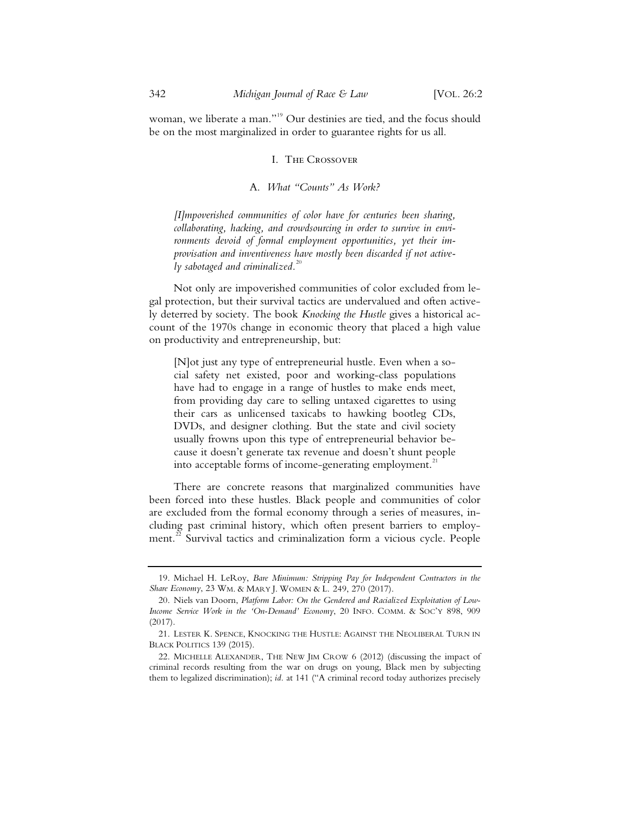woman, we liberate a man."<sup>19</sup> Our destinies are tied, and the focus should be on the most marginalized in order to guarantee rights for us all.

#### I. The Crossover

#### A. *What "Counts" As Work?*

*[I]mpoverished communities of color have for centuries been sharing, collaborating, hacking, and crowdsourcing in order to survive in environments devoid of formal employment opportunities, yet their improvisation and inventiveness have mostly been discarded if not actively sabotaged and criminalized.*<sup>20</sup>

Not only are impoverished communities of color excluded from legal protection, but their survival tactics are undervalued and often actively deterred by society. The book *Knocking the Hustle* gives a historical account of the 1970s change in economic theory that placed a high value on productivity and entrepreneurship, but:

[N]ot just any type of entrepreneurial hustle. Even when a social safety net existed, poor and working-class populations have had to engage in a range of hustles to make ends meet, from providing day care to selling untaxed cigarettes to using their cars as unlicensed taxicabs to hawking bootleg CDs, DVDs, and designer clothing. But the state and civil society usually frowns upon this type of entrepreneurial behavior because it doesn't generate tax revenue and doesn't shunt people into acceptable forms of income-generating employment.<sup>21</sup>

There are concrete reasons that marginalized communities have been forced into these hustles. Black people and communities of color are excluded from the formal economy through a series of measures, including past criminal history, which often present barriers to employment.<sup>22</sup> Survival tactics and criminalization form a vicious cycle. People

<sup>19.</sup> Michael H. LeRoy, *Bare Minimum: Stripping Pay for Independent Contractors in the*  Share Economy, 23 WM. & MARY J. WOMEN & L. 249, 270 (2017).

<sup>20.</sup> Niels van Doorn, *Platform Labor: On the Gendered and Racialized Exploitation of Low-*Income Service Work in the 'On-Demand' Economy, 20 INFO. COMM. & SOC'Y 898, 909 (2017).

<sup>21.</sup> LESTER K. SPENCE, KNOCKING THE HUSTLE: AGAINST THE NEOLIBERAL TURN IN BLACK POLITICS 139 (2015).

<sup>22.</sup> MICHELLE ALEXANDER, THE NEW JIM CROW 6 (2012) (discussing the impact of criminal records resulting from the war on drugs on young, Black men by subjecting them to legalized discrimination); *id.* at 141 ("A criminal record today authorizes precisely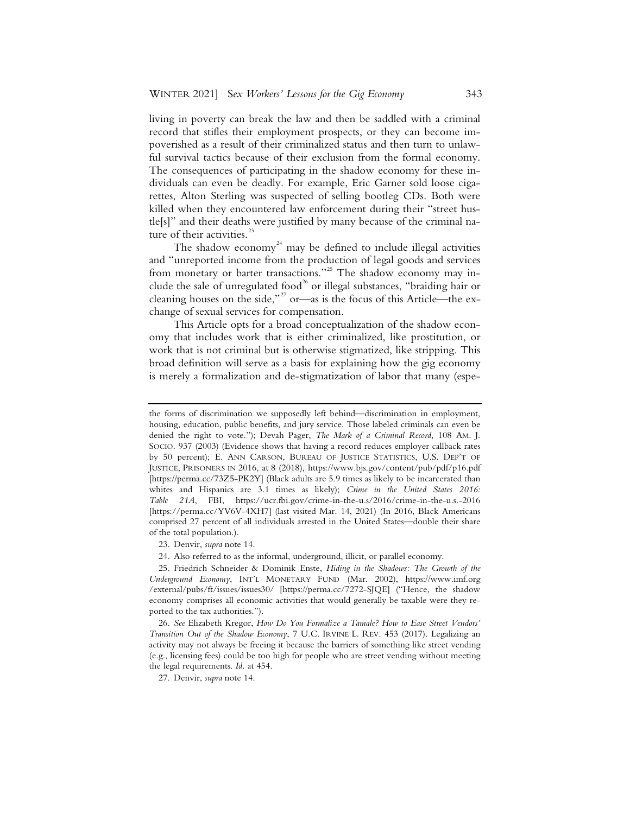living in poverty can break the law and then be saddled with a criminal record that stifles their employment prospects, or they can become impoverished as a result of their criminalized status and then turn to unlawful survival tactics because of their exclusion from the formal economy. The consequences of participating in the shadow economy for these individuals can even be deadly. For example, Eric Garner sold loose cigarettes, Alton Sterling was suspected of selling bootleg CDs. Both were killed when they encountered law enforcement during their "street hustle[s]" and their deaths were justified by many because of the criminal nature of their activities.<sup>23</sup>

The shadow economy<sup>24</sup> may be defined to include illegal activities and "unreported income from the production of legal goods and services from monetary or barter transactions."<sup>25</sup> The shadow economy may include the sale of unregulated food<sup>26</sup> or illegal substances, "braiding hair or cleaning houses on the side,"<sup>27</sup> or—as is the focus of this Article—the exchange of sexual services for compensation.

This Article opts for a broad conceptualization of the shadow economy that includes work that is either criminalized, like prostitution, or work that is not criminal but is otherwise stigmatized, like stripping. This broad definition will serve as a basis for explaining how the gig economy is merely a formalization and de-stigmatization of labor that many (espe-

24. Also referred to as the informal, underground, illicit, or parallel economy.

the forms of discrimination we supposedly left behind—discrimination in employment, housing, education, public benefits, and jury service. Those labeled criminals can even be denied the right to vote."); Devah Pager, *The Mark of a Criminal Record*, 108 AM. J. SOCIO. 937 (2003) (Evidence shows that having a record reduces employer callback rates by 50 percent); E. ANN CARSON, BUREAU OF JUSTICE STATISTICS, U.S. DEP'T OF JUSTICE, PRISONERS IN 2016, at 8 (2018), https://www.bjs.gov/content/pub/pdf/p16.pdf [https://perma.cc/73Z5-PK2Y] (Black adults are 5.9 times as likely to be incarcerated than whites and Hispanics are 3.1 times as likely); *Crime in the United States 2016: Table 21A*, FBI, https://ucr.fbi.gov/crime-in-the-u.s/2016/crime-in-the-u.s.-2016 [https://perma.cc/YV6V-4XH7] (last visited Mar. 14, 2021) (In 2016, Black Americans comprised 27 percent of all individuals arrested in the United States—double their share of the total population.).

<sup>23.</sup> Denvir, *supra* note 14.

<sup>25.</sup> Friedrich Schneider & Dominik Enste, *Hiding in the Shadows: The Growth of the Underground Economy*, INT'L MONETARY FUND (Mar. 2002), https://www.imf.org /external/pubs/ft/issues/issues30/ [https://perma.cc/7272-SJQE] ("Hence, the shadow economy comprises all economic activities that would generally be taxable were they reported to the tax authorities.").

<sup>26.</sup> *See* Elizabeth Kregor, *How Do You Formalize a Tamale? How to Ease Street Vendors' Transition Out of the Shadow Economy*, 7 U.C. IRVINE L. REV. 453 (2017). Legalizing an activity may not always be freeing it because the barriers of something like street vending (e.g., licensing fees) could be too high for people who are street vending without meeting the legal requirements. *Id.* at 454.

<sup>27.</sup> Denvir, *supra* note 14.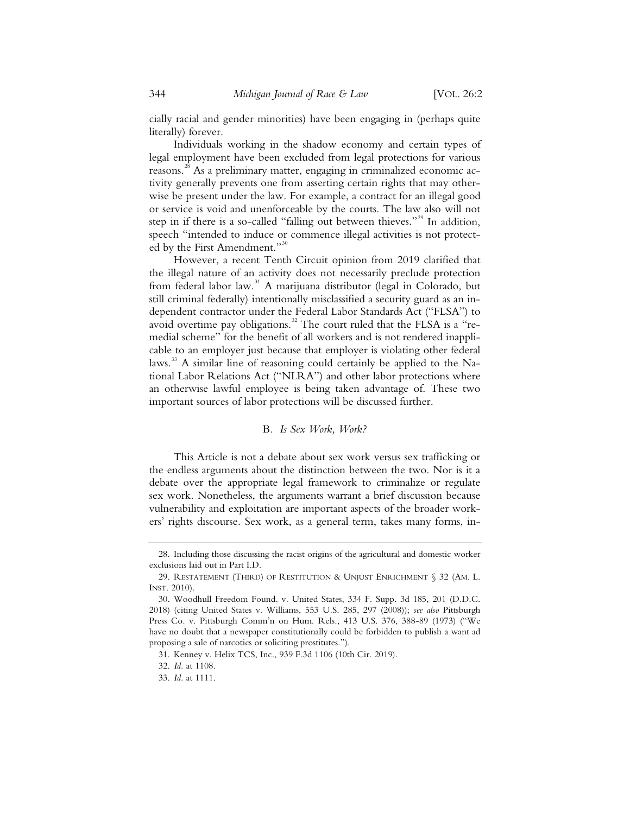cially racial and gender minorities) have been engaging in (perhaps quite literally) forever.

Individuals working in the shadow economy and certain types of legal employment have been excluded from legal protections for various reasons.<sup>28</sup> As a preliminary matter, engaging in criminalized economic activity generally prevents one from asserting certain rights that may otherwise be present under the law. For example, a contract for an illegal good or service is void and unenforceable by the courts. The law also will not step in if there is a so-called "falling out between thieves."<sup>29</sup> In addition, speech "intended to induce or commence illegal activities is not protected by the First Amendment."<sup>30</sup>

However, a recent Tenth Circuit opinion from 2019 clarified that the illegal nature of an activity does not necessarily preclude protection from federal labor law.<sup>31</sup> A marijuana distributor (legal in Colorado, but still criminal federally) intentionally misclassified a security guard as an independent contractor under the Federal Labor Standards Act ("FLSA") to avoid overtime pay obligations.<sup>32</sup> The court ruled that the FLSA is a "remedial scheme" for the benefit of all workers and is not rendered inapplicable to an employer just because that employer is violating other federal laws.<sup>33</sup> A similar line of reasoning could certainly be applied to the National Labor Relations Act ("NLRA") and other labor protections where an otherwise lawful employee is being taken advantage of. These two important sources of labor protections will be discussed further.

#### B*. Is Sex Work, Work?*

This Article is not a debate about sex work versus sex trafficking or the endless arguments about the distinction between the two. Nor is it a debate over the appropriate legal framework to criminalize or regulate sex work. Nonetheless, the arguments warrant a brief discussion because vulnerability and exploitation are important aspects of the broader workers' rights discourse. Sex work, as a general term, takes many forms, in-

 <sup>28.</sup> Including those discussing the racist origins of the agricultural and domestic worker exclusions laid out in Part I.D.

 <sup>29.</sup> RESTATEMENT (THIRD) OF RESTITUTION & UNJUST ENRICHMENT § 32 (AM. L. INST. 2010).

 <sup>30.</sup> Woodhull Freedom Found. v. United States, 334 F. Supp. 3d 185, 201 (D.D.C. 2018) (citing United States v. Williams, 553 U.S. 285, 297 (2008)); *see also* Pittsburgh Press Co. v. Pittsburgh Comm'n on Hum. Rels., 413 U.S. 376, 388-89 (1973) ("We have no doubt that a newspaper constitutionally could be forbidden to publish a want ad proposing a sale of narcotics or soliciting prostitutes.").

 <sup>31.</sup> Kenney v. Helix TCS, Inc., 939 F.3d 1106 (10th Cir. 2019).

 <sup>32.</sup> *Id.* at 1108.

 <sup>33.</sup> *Id.* at 1111.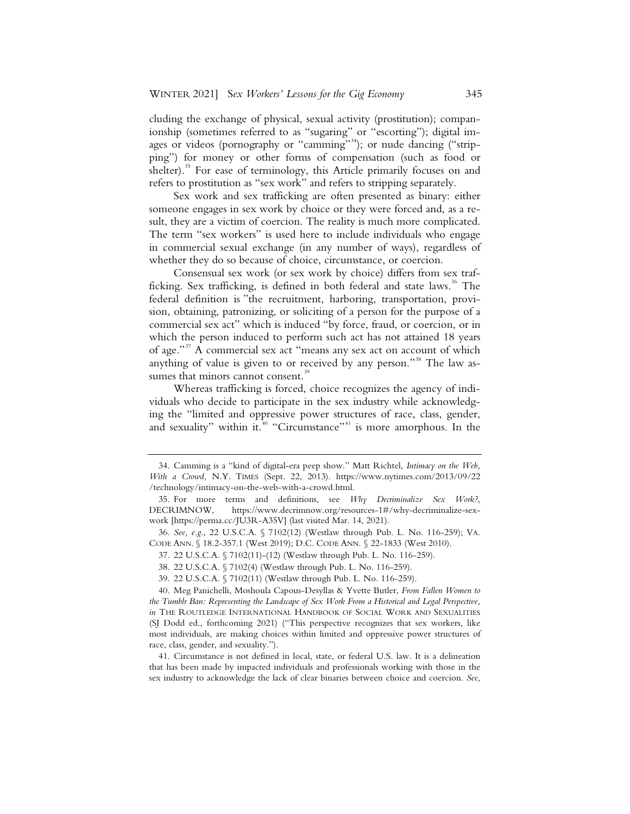cluding the exchange of physical, sexual activity (prostitution); companionship (sometimes referred to as "sugaring" or "escorting"); digital images or videos (pornography or "camming"<sup>34</sup>); or nude dancing ("stripping") for money or other forms of compensation (such as food or shelter).<sup>35</sup> For ease of terminology, this Article primarily focuses on and refers to prostitution as "sex work" and refers to stripping separately.

Sex work and sex trafficking are often presented as binary: either someone engages in sex work by choice or they were forced and, as a result, they are a victim of coercion. The reality is much more complicated. The term "sex workers" is used here to include individuals who engage in commercial sexual exchange (in any number of ways), regardless of whether they do so because of choice, circumstance, or coercion.

Consensual sex work (or sex work by choice) differs from sex trafficking. Sex trafficking, is defined in both federal and state laws.<sup>36</sup> The federal definition is "the recruitment, harboring, transportation, provision, obtaining, patronizing, or soliciting of a person for the purpose of a commercial sex act" which is induced "by force, fraud, or coercion, or in which the person induced to perform such act has not attained 18 years of age."<sup>37</sup> A commercial sex act "means any sex act on account of which anything of value is given to or received by any person."<sup>38</sup> The law assumes that minors cannot consent.<sup>39</sup>

Whereas trafficking is forced, choice recognizes the agency of individuals who decide to participate in the sex industry while acknowledging the "limited and oppressive power structures of race, class, gender, and sexuality" within it. $40$  "Circumstance"<sup>41</sup> is more amorphous. In the

 <sup>34.</sup> Camming is a "kind of digital-era peep show." Matt Richtel, *Intimacy on the Web, With a Crowd,* N.Y. TIMES (Sept. 22, 2013). https://www.nytimes.com/2013/09/22 /technology/intimacy-on-the-web-with-a-crowd.html.

 <sup>35.</sup> For more terms and definitions, see *Why Decriminalize Sex Work?*, DECRIMNOW, https://www.decrimnow.org/resources-1#/why-decriminalize-sexwork [https://perma.cc/JU3R-A35V] (last visited Mar. 14, 2021).

 <sup>36.</sup> *See, e.g*., 22 U.S.C.A. § 7102(12) (Westlaw through Pub. L. No. 116-259); VA. CODE ANN. § 18.2-357.1 (West 2019); D.C. CODE ANN. § 22-1833 (West 2010).

 <sup>37. 22</sup> U.S.C.A. § 7102(11)-(12) (Westlaw through Pub. L. No. 116-259).

 <sup>38. 22</sup> U.S.C.A. § 7102(4) (Westlaw through Pub. L. No. 116-259).

 <sup>39. 22</sup> U.S.C.A. § 7102(11) (Westlaw through Pub. L. No. 116-259).

 <sup>40.</sup> Meg Panichelli, Moshoula Capous-Desyllas & Yvette Butler, *From Fallen Women to the Tumblr Ban: Representing the Landscape of Sex Work From a Historical and Legal Perspective*, *in* THE ROUTLEDGE INTERNATIONAL HANDBOOK OF SOCIAL WORK AND SEXUALITIES (SJ Dodd ed., forthcoming 2021) ("This perspective recognizes that sex workers, like most individuals, are making choices within limited and oppressive power structures of race, class, gender, and sexuality.").

 <sup>41.</sup> Circumstance is not defined in local, state, or federal U.S. law. It is a delineation that has been made by impacted individuals and professionals working with those in the sex industry to acknowledge the lack of clear binaries between choice and coercion. *See,*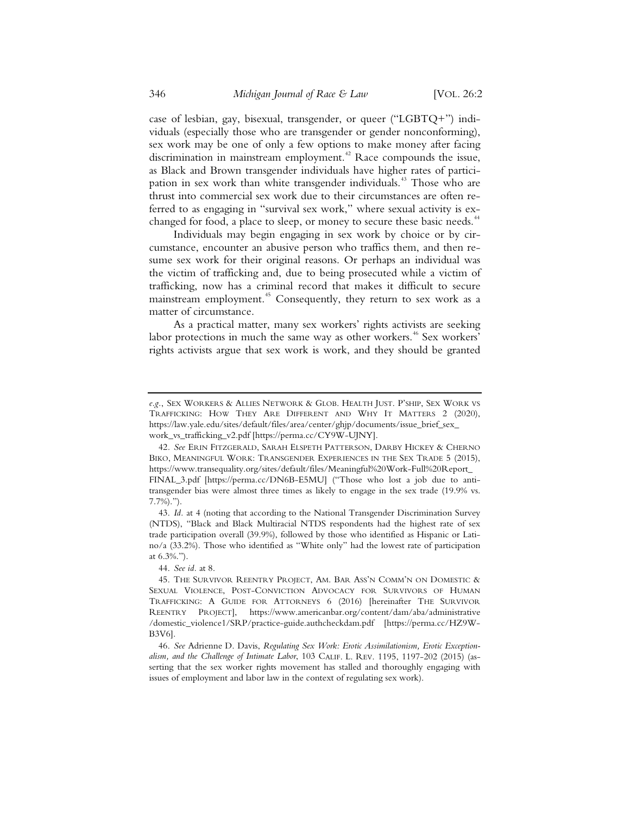case of lesbian, gay, bisexual, transgender, or queer ("LGBTQ+") individuals (especially those who are transgender or gender nonconforming), sex work may be one of only a few options to make money after facing discrimination in mainstream employment.<sup>42</sup> Race compounds the issue, as Black and Brown transgender individuals have higher rates of participation in sex work than white transgender individuals.<sup>43</sup> Those who are thrust into commercial sex work due to their circumstances are often referred to as engaging in "survival sex work," where sexual activity is exchanged for food, a place to sleep, or money to secure these basic needs.<sup>44</sup>

Individuals may begin engaging in sex work by choice or by circumstance, encounter an abusive person who traffics them, and then resume sex work for their original reasons. Or perhaps an individual was the victim of trafficking and, due to being prosecuted while a victim of trafficking, now has a criminal record that makes it difficult to secure mainstream employment.<sup>45</sup> Consequently, they return to sex work as a matter of circumstance.

As a practical matter, many sex workers' rights activists are seeking labor protections in much the same way as other workers.<sup>46</sup> Sex workers' rights activists argue that sex work is work, and they should be granted

*e.g.*, SEX WORKERS & ALLIES NETWORK & GLOB. HEALTH JUST. P'SHIP, SEX WORK VS TRAFFICKING: HOW THEY ARE DIFFERENT AND WHY IT MATTERS 2 (2020), https://law.yale.edu/sites/default/files/area/center/ghjp/documents/issue\_brief\_sex\_ work\_vs\_trafficking\_v2.pdf [https://perma.cc/CY9W-UJNY].

<sup>42</sup>*. See* ERIN FITZGERALD, SARAH ELSPETH PATTERSON, DARBY HICKEY & CHERNO BIKO, MEANINGFUL WORK: TRANSGENDER EXPERIENCES IN THE SEX TRADE 5 (2015), https://www.transequality.org/sites/default/files/Meaningful%20Work-Full%20Report\_ FINAL\_3.pdf [https://perma.cc/DN6B-E5MU] ("Those who lost a job due to antitransgender bias were almost three times as likely to engage in the sex trade (19.9% vs. 7.7%).").

 <sup>43.</sup> *Id.* at 4 (noting that according to the National Transgender Discrimination Survey (NTDS), "Black and Black Multiracial NTDS respondents had the highest rate of sex trade participation overall (39.9%), followed by those who identified as Hispanic or Latino/a (33.2%). Those who identified as "White only" had the lowest rate of participation at 6.3%.").

 <sup>44.</sup> *See id.* at 8.

 <sup>45.</sup> THE SURVIVOR REENTRY PROJECT, AM. BAR ASS'N COMM'N ON DOMESTIC & SEXUAL VIOLENCE, POST-CONVICTION ADVOCACY FOR SURVIVORS OF HUMAN TRAFFICKING: A GUIDE FOR ATTORNEYS 6 (2016) [hereinafter THE SURVIVOR REENTRY PROJECT], https://www.americanbar.org/content/dam/aba/administrative /domestic\_violence1/SRP/practice-guide.authcheckdam.pdf [https://perma.cc/HZ9W-B3V6].

 <sup>46.</sup> *See* Adrienne D. Davis, *Regulating Sex Work: Erotic Assimilationism, Erotic Exceptionalism, and the Challenge of Intimate Labor*, 103 CALIF. L. REV. 1195, 1197-202 (2015) (asserting that the sex worker rights movement has stalled and thoroughly engaging with issues of employment and labor law in the context of regulating sex work).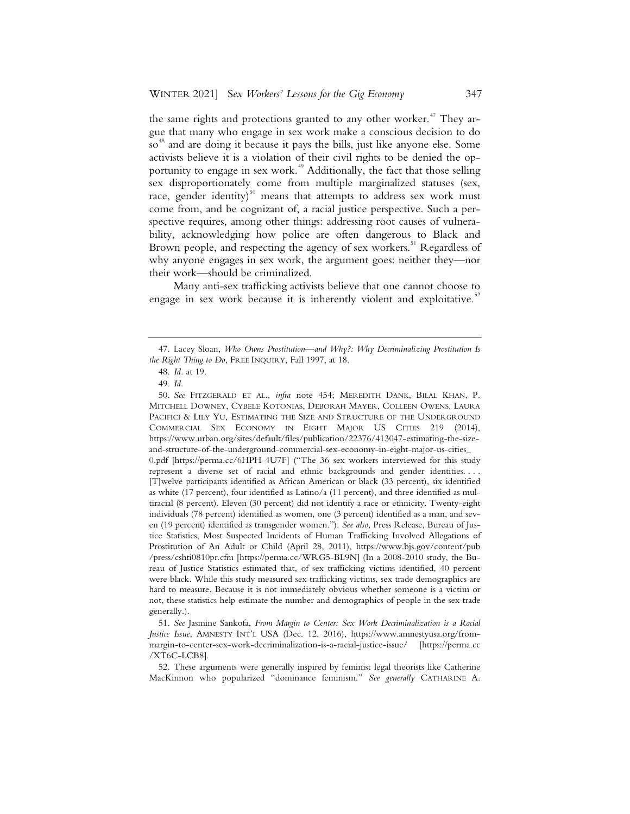the same rights and protections granted to any other worker.<sup> $47$ </sup> They argue that many who engage in sex work make a conscious decision to do so<sup>48</sup> and are doing it because it pays the bills, just like anyone else. Some activists believe it is a violation of their civil rights to be denied the opportunity to engage in sex work.<sup> $49$ </sup> Additionally, the fact that those selling sex disproportionately come from multiple marginalized statuses (sex, race, gender identity)<sup>50</sup> means that attempts to address sex work must come from, and be cognizant of, a racial justice perspective. Such a perspective requires, among other things: addressing root causes of vulnerability, acknowledging how police are often dangerous to Black and Brown people, and respecting the agency of sex workers.<sup>51</sup> Regardless of why anyone engages in sex work, the argument goes: neither they—nor their work—should be criminalized.

Many anti-sex trafficking activists believe that one cannot choose to engage in sex work because it is inherently violent and exploitative.<sup>52</sup>

 <sup>47.</sup> Lacey Sloan, *Who Owns Prostitution—and Why?: Why Decriminalizing Prostitution Is the Right Thing to Do*, FREE INQUIRY, Fall 1997, at 18.

 <sup>48.</sup> *Id.* at 19.

 <sup>49.</sup> *Id.* 

 <sup>50.</sup> *See* FITZGERALD ET AL., *infra* note 454; MEREDITH DANK, BILAL KHAN, P. MITCHELL DOWNEY, CYBELE KOTONIAS, DEBORAH MAYER, COLLEEN OWENS, LAURA PACIFICI & LILY YU, ESTIMATING THE SIZE AND STRUCTURE OF THE UNDERGROUND COMMERCIAL SEX ECONOMY IN EIGHT MAJOR US CITIES 219 (2014), https://www.urban.org/sites/default/files/publication/22376/413047-estimating-the-sizeand-structure-of-the-underground-commercial-sex-economy-in-eight-major-us-cities\_ 0.pdf [https://perma.cc/6HPH-4U7F] ("The 36 sex workers interviewed for this study represent a diverse set of racial and ethnic backgrounds and gender identities. . . . [T]welve participants identified as African American or black (33 percent), six identified as white (17 percent), four identified as Latino/a (11 percent), and three identified as multiracial (8 percent). Eleven (30 percent) did not identify a race or ethnicity. Twenty-eight individuals (78 percent) identified as women, one (3 percent) identified as a man, and seven (19 percent) identified as transgender women."). *See also*, Press Release, Bureau of Justice Statistics, Most Suspected Incidents of Human Trafficking Involved Allegations of Prostitution of An Adult or Child (April 28, 2011), https://www.bjs.gov/content/pub /press/cshti0810pr.cfm [https://perma.cc/WRG5-BL9N] (In a 2008-2010 study, the Bureau of Justice Statistics estimated that, of sex trafficking victims identified, 40 percent were black. While this study measured sex trafficking victims, sex trade demographics are hard to measure. Because it is not immediately obvious whether someone is a victim or not, these statistics help estimate the number and demographics of people in the sex trade generally.).

 <sup>51.</sup> *See* Jasmine Sankofa, *From Margin to Center: Sex Work Decriminalization is a Racial Justice Issue*, AMNESTY INT'L USA (Dec. 12, 2016), https://www.amnestyusa.org/frommargin-to-center-sex-work-decriminalization-is-a-racial-justice-issue/ [https://perma.cc /XT6C-LCB8].

 <sup>52.</sup> These arguments were generally inspired by feminist legal theorists like Catherine MacKinnon who popularized "dominance feminism." *See generally* CATHARINE A.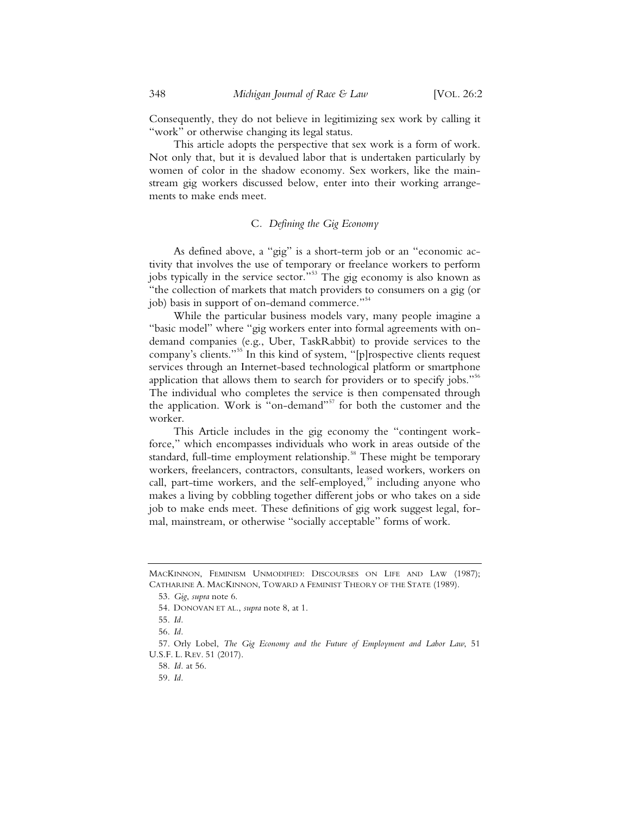Consequently, they do not believe in legitimizing sex work by calling it "work" or otherwise changing its legal status.

This article adopts the perspective that sex work is a form of work. Not only that, but it is devalued labor that is undertaken particularly by women of color in the shadow economy. Sex workers, like the mainstream gig workers discussed below, enter into their working arrangements to make ends meet.

#### C*. Defining the Gig Economy*

As defined above, a "gig" is a short-term job or an "economic activity that involves the use of temporary or freelance workers to perform jobs typically in the service sector."<sup>53</sup> The gig economy is also known as "the collection of markets that match providers to consumers on a gig (or job) basis in support of on-demand commerce."<sup>54</sup>

While the particular business models vary, many people imagine a "basic model" where "gig workers enter into formal agreements with ondemand companies (e.g., Uber, TaskRabbit) to provide services to the company's clients."<sup>55</sup> In this kind of system, "[p]rospective clients request services through an Internet-based technological platform or smartphone application that allows them to search for providers or to specify jobs." $56$ The individual who completes the service is then compensated through the application. Work is "on-demand"<sup>57</sup> for both the customer and the worker.

This Article includes in the gig economy the "contingent workforce," which encompasses individuals who work in areas outside of the standard, full-time employment relationship.<sup>58</sup> These might be temporary workers, freelancers, contractors, consultants, leased workers, workers on call, part-time workers, and the self-employed,<sup>59</sup> including anyone who makes a living by cobbling together different jobs or who takes on a side job to make ends meet. These definitions of gig work suggest legal, formal, mainstream, or otherwise "socially acceptable" forms of work.

57. Orly Lobel, *The Gig Economy and the Future of Employment and Labor Law*, 51 U.S.F. L. REV. 51 (2017).

MACKINNON, FEMINISM UNMODIFIED: DISCOURSES ON LIFE AND LAW (1987); CATHARINE A. MACKINNON, TOWARD A FEMINIST THEORY OF THE STATE (1989).

<sup>53.</sup> *Gig*, *supra* note 6.

<sup>54.</sup> DONOVAN ET AL., *supra* note 8, at 1.

<sup>55.</sup> *Id.*

<sup>56.</sup> *Id.*

<sup>58.</sup> *Id.* at 56.

<sup>59.</sup> *Id.*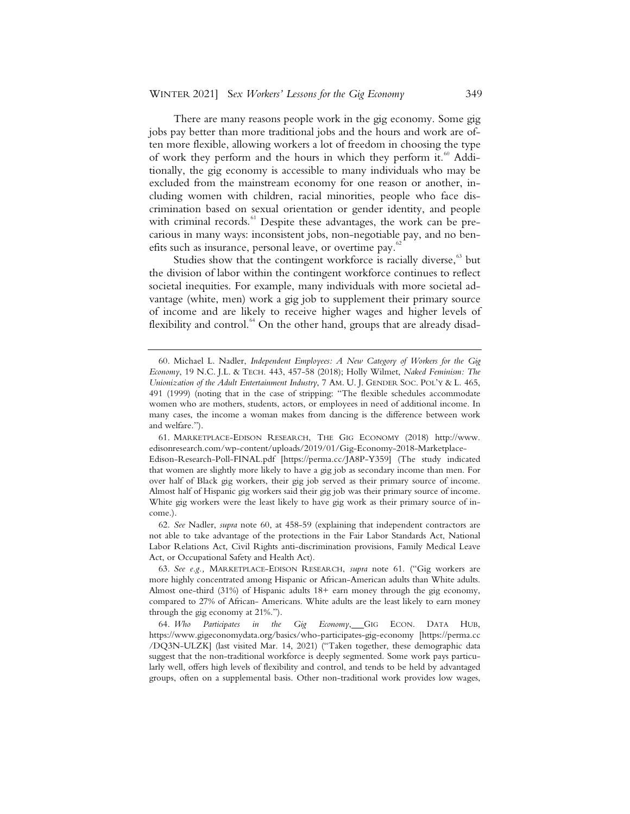There are many reasons people work in the gig economy. Some gig jobs pay better than more traditional jobs and the hours and work are often more flexible, allowing workers a lot of freedom in choosing the type of work they perform and the hours in which they perform it.<sup>60</sup> Additionally, the gig economy is accessible to many individuals who may be excluded from the mainstream economy for one reason or another, including women with children, racial minorities, people who face discrimination based on sexual orientation or gender identity, and people with criminal records.<sup>61</sup> Despite these advantages, the work can be precarious in many ways: inconsistent jobs, non-negotiable pay, and no benefits such as insurance, personal leave, or overtime pay.<sup>6</sup>

Studies show that the contingent workforce is racially diverse, $63$  but the division of labor within the contingent workforce continues to reflect societal inequities. For example, many individuals with more societal advantage (white, men) work a gig job to supplement their primary source of income and are likely to receive higher wages and higher levels of flexibility and control.<sup>64</sup> On the other hand, groups that are already disad-

 62. *See* Nadler, *supra* note 60, at 458-59 (explaining that independent contractors are not able to take advantage of the protections in the Fair Labor Standards Act, National Labor Relations Act, Civil Rights anti-discrimination provisions, Family Medical Leave Act, or Occupational Safety and Health Act).

 63. *See e.g.,* MARKETPLACE-EDISON RESEARCH, *supra* note 61. ("Gig workers are more highly concentrated among Hispanic or African-American adults than White adults. Almost one-third (31%) of Hispanic adults 18+ earn money through the gig economy, compared to 27% of African- Americans. White adults are the least likely to earn money through the gig economy at 21%.").

 <sup>60.</sup> Michael L. Nadler, *Independent Employees: A New Category of Workers for the Gig Economy*, 19 N.C. J.L. & TECH. 443, 457-58 (2018); Holly Wilmet, *Naked Feminism: The Unionization of the Adult Entertainment Industry*, 7 AM. U. J. GENDER SOC. POL'Y & L. 465, 491 (1999) (noting that in the case of stripping: "The flexible schedules accommodate women who are mothers, students, actors, or employees in need of additional income. In many cases, the income a woman makes from dancing is the difference between work and welfare.").

 <sup>61.</sup> MARKETPLACE-EDISON RESEARCH, THE GIG ECONOMY (2018) http://www. edisonresearch.com/wp-content/uploads/2019/01/Gig-Economy-2018-Marketplace-Edison-Research-Poll-FINAL.pdf [https://perma.cc/JA8P-Y359] (The study indicated that women are slightly more likely to have a gig job as secondary income than men. For over half of Black gig workers, their gig job served as their primary source of income. Almost half of Hispanic gig workers said their gig job was their primary source of income. White gig workers were the least likely to have gig work as their primary source of income.).

 <sup>64.</sup> *Who Participates in the Gig Economy*, GIG ECON. DATA HUB, https://www.gigeconomydata.org/basics/who-participates-gig-economy [https://perma.cc /DQ3N-ULZK] (last visited Mar. 14, 2021) ("Taken together, these demographic data suggest that the non-traditional workforce is deeply segmented. Some work pays particularly well, offers high levels of flexibility and control, and tends to be held by advantaged groups, often on a supplemental basis. Other non-traditional work provides low wages,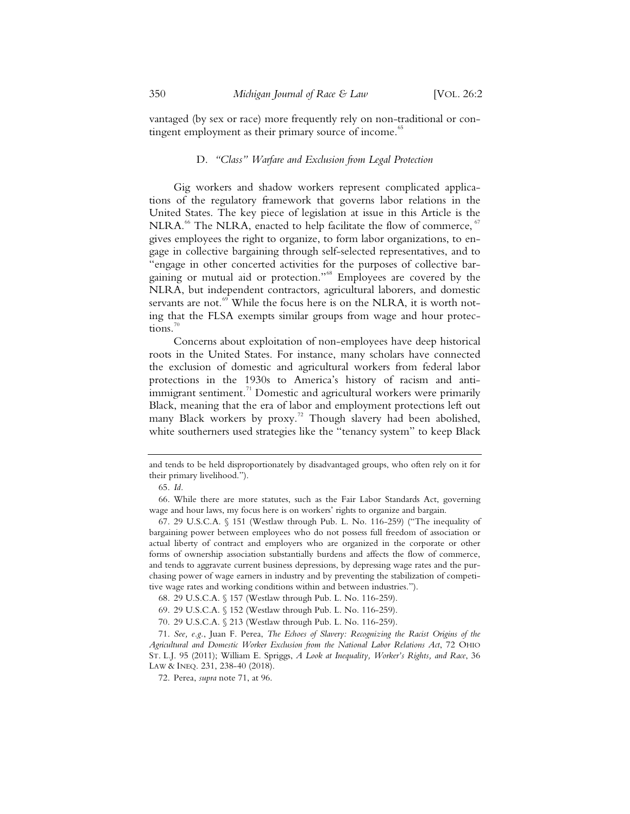vantaged (by sex or race) more frequently rely on non-traditional or contingent employment as their primary source of income.<sup>85</sup>

#### D. *"Class" Warfare and Exclusion from Legal Protection*

Gig workers and shadow workers represent complicated applications of the regulatory framework that governs labor relations in the United States. The key piece of legislation at issue in this Article is the  $NLRA<sup>66</sup>$  The NLRA, enacted to help facilitate the flow of commerce,  $67$ gives employees the right to organize, to form labor organizations, to engage in collective bargaining through self-selected representatives, and to "engage in other concerted activities for the purposes of collective bargaining or mutual aid or protection."68 Employees are covered by the NLRA, but independent contractors, agricultural laborers, and domestic servants are not. $69$  While the focus here is on the NLRA, it is worth noting that the FLSA exempts similar groups from wage and hour protections.

Concerns about exploitation of non-employees have deep historical roots in the United States. For instance, many scholars have connected the exclusion of domestic and agricultural workers from federal labor protections in the 1930s to America's history of racism and antiimmigrant sentiment.<sup>71</sup> Domestic and agricultural workers were primarily Black, meaning that the era of labor and employment protections left out many Black workers by proxy.<sup>72</sup> Though slavery had been abolished, white southerners used strategies like the "tenancy system" to keep Black

and tends to be held disproportionately by disadvantaged groups, who often rely on it for their primary livelihood.").

 <sup>65.</sup> *Id.*

 <sup>66.</sup> While there are more statutes, such as the Fair Labor Standards Act, governing wage and hour laws, my focus here is on workers' rights to organize and bargain.

 <sup>67. 29</sup> U.S.C.A. § 151 (Westlaw through Pub. L. No. 116-259) ("The inequality of bargaining power between employees who do not possess full freedom of association or actual liberty of contract and employers who are organized in the corporate or other forms of ownership association substantially burdens and affects the flow of commerce, and tends to aggravate current business depressions, by depressing wage rates and the purchasing power of wage earners in industry and by preventing the stabilization of competitive wage rates and working conditions within and between industries.").

 <sup>68. 29</sup> U.S.C.A. § 157 (Westlaw through Pub. L. No. 116-259).

 <sup>69. 29</sup> U.S.C.A. § 152 (Westlaw through Pub. L. No. 116-259).

 <sup>70. 29</sup> U.S.C.A. § 213 (Westlaw through Pub. L. No. 116-259).

 <sup>71.</sup> *See, e.g.*, Juan F. Perea, *The Echoes of Slavery: Recognizing the Racist Origins of the Agricultural and Domestic Worker Exclusion from the National Labor Relations Act*, 72 OHIO ST. L.J. 95 (2011); William E. Spriggs, *A Look at Inequality, Worker's Rights, and Race*, 36 LAW & INEQ. 231, 238-40 (2018).

 <sup>72.</sup> Perea, *supra* note 71, at 96.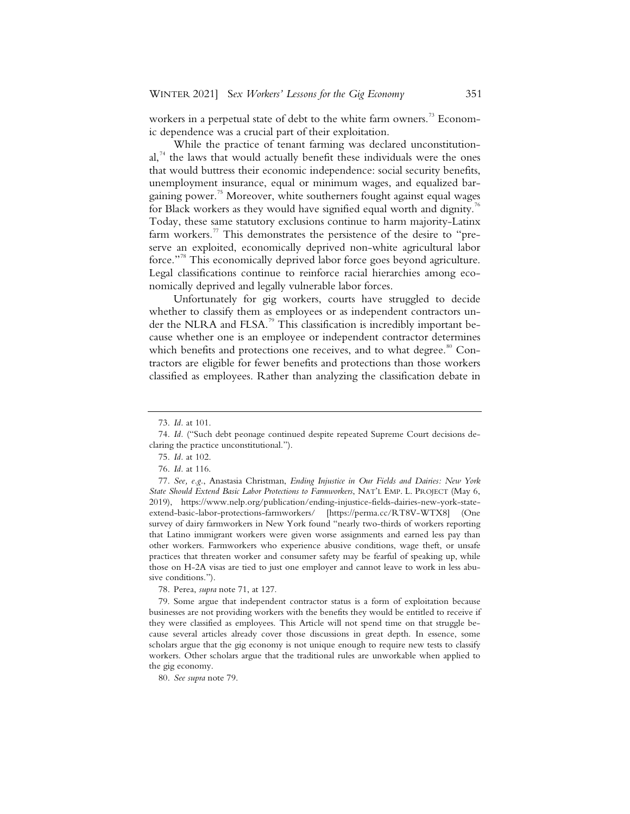workers in a perpetual state of debt to the white farm owners.<sup>73</sup> Economic dependence was a crucial part of their exploitation.

While the practice of tenant farming was declared unconstitutional.<sup>74</sup> the laws that would actually benefit these individuals were the ones that would buttress their economic independence: social security benefits, unemployment insurance, equal or minimum wages, and equalized bargaining power.<sup>75</sup> Moreover, white southerners fought against equal wages for Black workers as they would have signified equal worth and dignity.<sup>76</sup> Today, these same statutory exclusions continue to harm majority-Latinx farm workers.<sup>77</sup> This demonstrates the persistence of the desire to "preserve an exploited, economically deprived non-white agricultural labor force."<sup>78</sup> This economically deprived labor force goes beyond agriculture. Legal classifications continue to reinforce racial hierarchies among economically deprived and legally vulnerable labor forces.

Unfortunately for gig workers, courts have struggled to decide whether to classify them as employees or as independent contractors under the NLRA and FLSA.<sup>79</sup> This classification is incredibly important because whether one is an employee or independent contractor determines which benefits and protections one receives, and to what degree.<sup>80</sup> Contractors are eligible for fewer benefits and protections than those workers classified as employees. Rather than analyzing the classification debate in

<sup>73.</sup> *Id.* at 101.

<sup>74.</sup> *Id.* ("Such debt peonage continued despite repeated Supreme Court decisions declaring the practice unconstitutional.").

<sup>75.</sup> *Id.* at 102.

<sup>76.</sup> *Id.* at 116.

<sup>77.</sup> *See, e.g.*, Anastasia Christman, *Ending Injustice in Our Fields and Dairies: New York State Should Extend Basic Labor Protections to Farmworkers*, NAT'L EMP. L. PROJECT (May 6, 2019), https://www.nelp.org/publication/ending-injustice-fields-dairies-new-york-stateextend-basic-labor-protections-farmworkers/ [https://perma.cc/RT8V-WTX8] (One survey of dairy farmworkers in New York found "nearly two-thirds of workers reporting that Latino immigrant workers were given worse assignments and earned less pay than other workers. Farmworkers who experience abusive conditions, wage theft, or unsafe practices that threaten worker and consumer safety may be fearful of speaking up, while those on H-2A visas are tied to just one employer and cannot leave to work in less abusive conditions.").

<sup>78.</sup> Perea, *supra* note 71, at 127.

<sup>79.</sup> Some argue that independent contractor status is a form of exploitation because businesses are not providing workers with the benefits they would be entitled to receive if they were classified as employees. This Article will not spend time on that struggle because several articles already cover those discussions in great depth. In essence, some scholars argue that the gig economy is not unique enough to require new tests to classify workers. Other scholars argue that the traditional rules are unworkable when applied to the gig economy.

<sup>80.</sup> *See supra* note 79.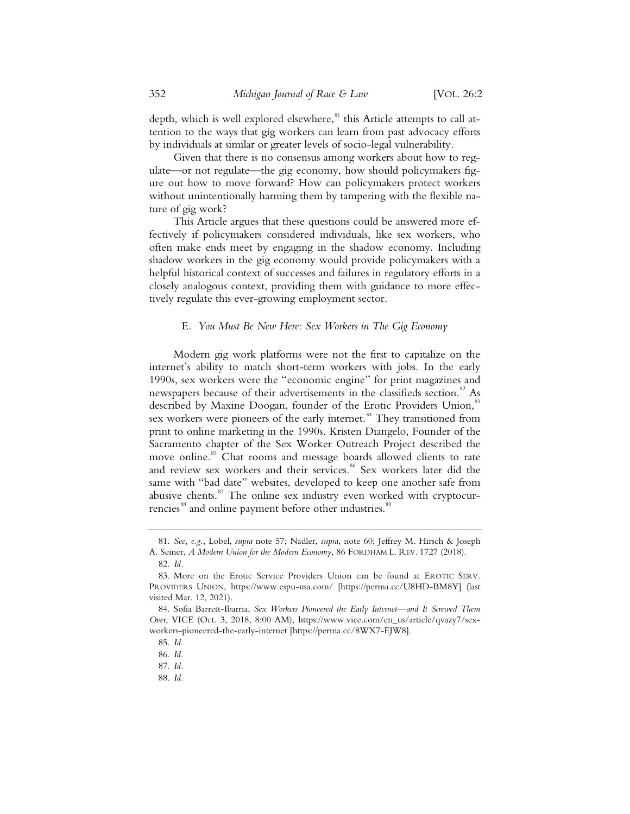depth, which is well explored elsewhere,<sup>81</sup> this Article attempts to call attention to the ways that gig workers can learn from past advocacy efforts by individuals at similar or greater levels of socio-legal vulnerability.

Given that there is no consensus among workers about how to regulate—or not regulate—the gig economy, how should policymakers figure out how to move forward? How can policymakers protect workers without unintentionally harming them by tampering with the flexible nature of gig work?

This Article argues that these questions could be answered more effectively if policymakers considered individuals, like sex workers, who often make ends meet by engaging in the shadow economy. Including shadow workers in the gig economy would provide policymakers with a helpful historical context of successes and failures in regulatory efforts in a closely analogous context, providing them with guidance to more effectively regulate this ever-growing employment sector.

#### E*. You Must Be New Here: Sex Workers in The Gig Economy*

Modern gig work platforms were not the first to capitalize on the internet's ability to match short-term workers with jobs. In the early 1990s, sex workers were the "economic engine" for print magazines and newspapers because of their advertisements in the classifieds section.<sup>82</sup> As described by Maxine Doogan, founder of the Erotic Providers Union,<sup>83</sup> sex workers were pioneers of the early internet.<sup>84</sup> They transitioned from print to online marketing in the 1990s. Kristen Diangelo, Founder of the Sacramento chapter of the Sex Worker Outreach Project described the move online.<sup>85</sup> Chat rooms and message boards allowed clients to rate and review sex workers and their services.<sup>86</sup> Sex workers later did the same with "bad date" websites, developed to keep one another safe from abusive clients. $87$  The online sex industry even worked with cryptocurrencies<sup>88</sup> and online payment before other industries.<sup>89</sup>

88. *Id.*

 <sup>81.</sup> *See, e.g.*, Lobel, *supra* note 57; Nadler, *supra*, note 60; Jeffrey M. Hirsch & Joseph A. Seiner, *A Modern Union for the Modern Economy*, 86 FORDHAM L. REV. 1727 (2018). 82. *Id.*

 <sup>83.</sup> More on the Erotic Service Providers Union can be found at EROTIC SERV. PROVIDERS UNION, https://www.espu-usa.com/ [https://perma.cc/U8HD-BM8Y] (last visited Mar. 12, 2021).

 <sup>84.</sup> Sofia Barrett-Ibarria, *Sex Workers Pioneered the Early Internet—and It Screwed Them Over*, VICE (Oct. 3, 2018, 8:00 AM), https://www.vice.com/en\_us/article/qvazy7/sexworkers-pioneered-the-early-internet [https://perma.cc/8WX7-EJW8].

 <sup>85.</sup> *Id.*

 <sup>86.</sup> *Id.*

 <sup>87.</sup> *Id.*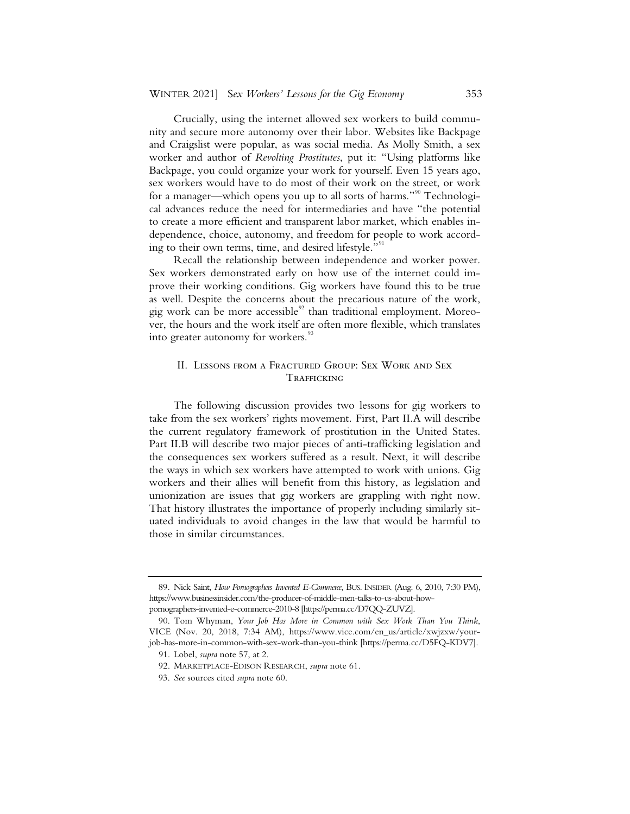Crucially, using the internet allowed sex workers to build community and secure more autonomy over their labor. Websites like Backpage and Craigslist were popular, as was social media. As Molly Smith, a sex worker and author of *Revolting Prostitutes*, put it: "Using platforms like Backpage, you could organize your work for yourself. Even 15 years ago, sex workers would have to do most of their work on the street, or work for a manager—which opens you up to all sorts of harms."<sup>90</sup> Technological advances reduce the need for intermediaries and have "the potential to create a more efficient and transparent labor market, which enables independence, choice, autonomy, and freedom for people to work according to their own terms, time, and desired lifestyle."<sup>91</sup>

Recall the relationship between independence and worker power. Sex workers demonstrated early on how use of the internet could improve their working conditions. Gig workers have found this to be true as well. Despite the concerns about the precarious nature of the work, gig work can be more accessible $92$  than traditional employment. Moreover, the hours and the work itself are often more flexible, which translates into greater autonomy for workers.<sup>93</sup>

#### II. Lessons from a Fractured Group: Sex Work and Sex **TRAFFICKING**

The following discussion provides two lessons for gig workers to take from the sex workers' rights movement. First, Part II.A will describe the current regulatory framework of prostitution in the United States. Part II.B will describe two major pieces of anti-trafficking legislation and the consequences sex workers suffered as a result. Next, it will describe the ways in which sex workers have attempted to work with unions. Gig workers and their allies will benefit from this history, as legislation and unionization are issues that gig workers are grappling with right now. That history illustrates the importance of properly including similarly situated individuals to avoid changes in the law that would be harmful to those in similar circumstances.

 <sup>89.</sup> Nick Saint, *How Pornographers Invented E-Commerce*, BUS. INSIDER (Aug. 6, 2010, 7:30 PM), https://www.businessinsider.com/the-producer-of-middle-men-talks-to-us-about-howpornographers-invented-e-commerce-2010-8 [https://perma.cc/D7QQ-ZUVZ].

 <sup>90.</sup> Tom Whyman, *Your Job Has More in Common with Sex Work Than You Think*, VICE (Nov. 20, 2018, 7:34 AM), https://www.vice.com/en\_us/article/xwjzxw/yourjob-has-more-in-common-with-sex-work-than-you-think [https://perma.cc/D5FQ-KDV7].

 <sup>91.</sup> Lobel, *supra* note 57, at 2.

 <sup>92.</sup> MARKETPLACE-EDISON RESEARCH, *supra* note 61.

 <sup>93.</sup> *See* sources cited *supra* note 60.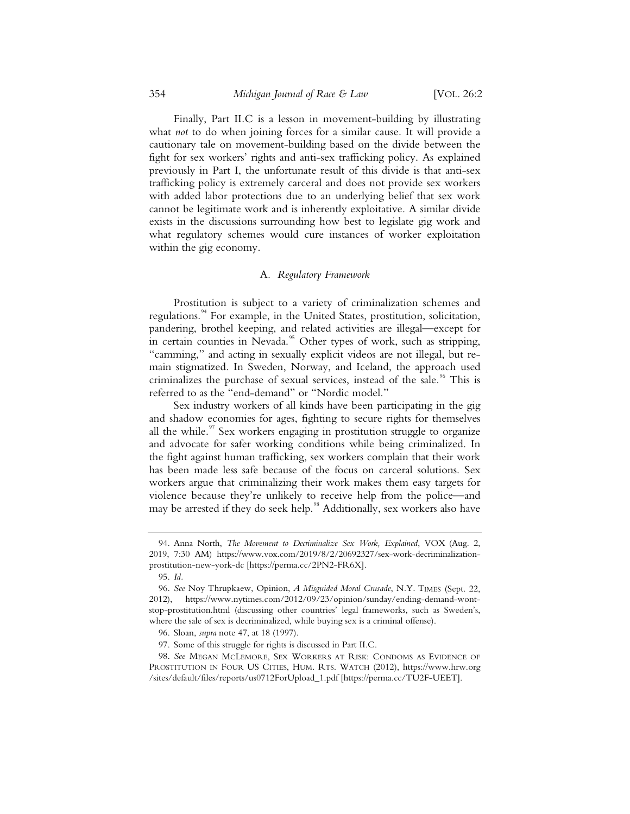Finally, Part II.C is a lesson in movement-building by illustrating what *not* to do when joining forces for a similar cause. It will provide a cautionary tale on movement-building based on the divide between the fight for sex workers' rights and anti-sex trafficking policy. As explained previously in Part I, the unfortunate result of this divide is that anti-sex trafficking policy is extremely carceral and does not provide sex workers with added labor protections due to an underlying belief that sex work cannot be legitimate work and is inherently exploitative. A similar divide exists in the discussions surrounding how best to legislate gig work and what regulatory schemes would cure instances of worker exploitation within the gig economy.

#### A*. Regulatory Framework*

Prostitution is subject to a variety of criminalization schemes and regulations.<sup>94</sup> For example, in the United States, prostitution, solicitation, pandering, brothel keeping, and related activities are illegal—except for in certain counties in Nevada.<sup>95</sup> Other types of work, such as stripping, "camming," and acting in sexually explicit videos are not illegal, but remain stigmatized. In Sweden, Norway, and Iceland, the approach used criminalizes the purchase of sexual services, instead of the sale.<sup>96</sup> This is referred to as the "end-demand" or "Nordic model."

Sex industry workers of all kinds have been participating in the gig and shadow economies for ages, fighting to secure rights for themselves all the while. $\frac{97}{10}$  Sex workers engaging in prostitution struggle to organize and advocate for safer working conditions while being criminalized. In the fight against human trafficking, sex workers complain that their work has been made less safe because of the focus on carceral solutions. Sex workers argue that criminalizing their work makes them easy targets for violence because they're unlikely to receive help from the police—and may be arrested if they do seek help.<sup>98</sup> Additionally, sex workers also have

<sup>94.</sup> Anna North, *The Movement to Decriminalize Sex Work, Explained*, VOX (Aug. 2, 2019, 7:30 AM) https://www.vox.com/2019/8/2/20692327/sex-work-decriminalizationprostitution-new-york-dc [https://perma.cc/2PN2-FR6X].

<sup>95.</sup> *Id.*

<sup>96.</sup> *See* Noy Thrupkaew, Opinion, *A Misguided Moral Crusade*, N.Y. TIMES (Sept. 22, 2012), https://www.nytimes.com/2012/09/23/opinion/sunday/ending-demand-wontstop-prostitution.html (discussing other countries' legal frameworks, such as Sweden's, where the sale of sex is decriminalized, while buying sex is a criminal offense).

<sup>96.</sup> Sloan, *supra* note 47, at 18 (1997).

<sup>97.</sup> Some of this struggle for rights is discussed in Part II.C.

<sup>98.</sup> *See* MEGAN MCLEMORE, SEX WORKERS AT RISK: CONDOMS AS EVIDENCE OF PROSTITUTION IN FOUR US CITIES, HUM. RTS. WATCH (2012), https://www.hrw.org /sites/default/files/reports/us0712ForUpload\_1.pdf [https://perma.cc/TU2F-UEET].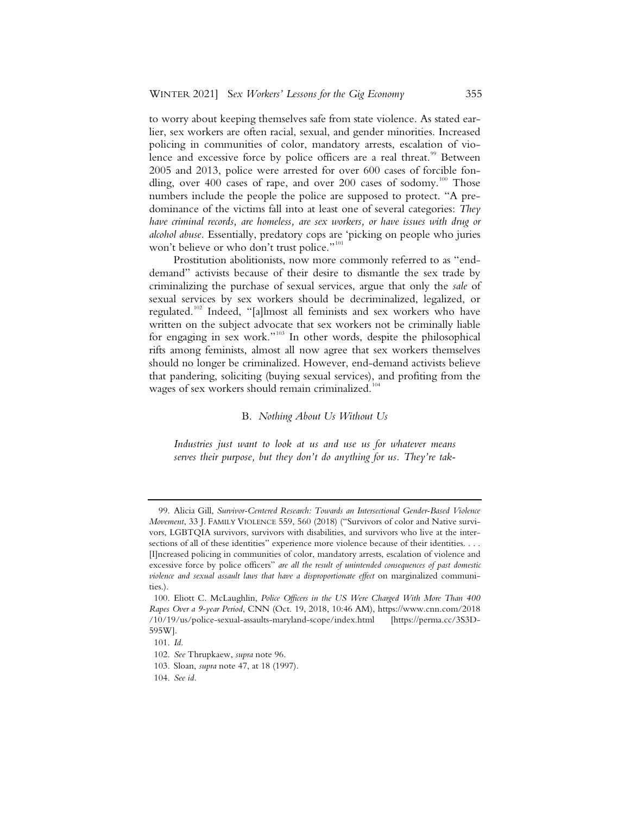to worry about keeping themselves safe from state violence. As stated earlier, sex workers are often racial, sexual, and gender minorities. Increased policing in communities of color, mandatory arrests, escalation of violence and excessive force by police officers are a real threat.<sup>99</sup> Between 2005 and 2013, police were arrested for over 600 cases of forcible fondling, over 400 cases of rape, and over 200 cases of sodomy.<sup>100</sup> Those numbers include the people the police are supposed to protect. "A predominance of the victims fall into at least one of several categories: *They have criminal records, are homeless, are sex workers, or have issues with drug or alcohol abuse.* Essentially, predatory cops are 'picking on people who juries won't believe or who don't trust police."<sup>101</sup>

Prostitution abolitionists, now more commonly referred to as "enddemand" activists because of their desire to dismantle the sex trade by criminalizing the purchase of sexual services, argue that only the *sale* of sexual services by sex workers should be decriminalized, legalized, or regulated.<sup>102</sup> Indeed, "[a]lmost all feminists and sex workers who have written on the subject advocate that sex workers not be criminally liable for engaging in sex work."<sup>103</sup> In other words, despite the philosophical rifts among feminists, almost all now agree that sex workers themselves should no longer be criminalized. However, end-demand activists believe that pandering, soliciting (buying sexual services), and profiting from the wages of sex workers should remain criminalized.<sup>10</sup>

B. *Nothing About Us Without Us*

*Industries just want to look at us and use us for whatever means serves their purpose, but they don't do anything for us. They're tak-*

<sup>99.</sup> Alicia Gill, *Survivor-Centered Research: Towards an Intersectional Gender-Based Violence Movement*, 33 J. FAMILY VIOLENCE 559, 560 (2018) ("Survivors of color and Native survivors, LGBTQIA survivors, survivors with disabilities, and survivors who live at the intersections of all of these identities" experience more violence because of their identities. . . . [I]ncreased policing in communities of color, mandatory arrests, escalation of violence and excessive force by police officers" *are all the result of unintended consequences of past domestic violence and sexual assault laws that have a disproportionate effect* on marginalized communities.).

<sup>100.</sup> Eliott C. McLaughlin, *Police Officers in the US Were Charged With More Than 400 Rapes Over a 9-year Period*, CNN (Oct. 19, 2018, 10:46 AM), https://www.cnn.com/2018 /10/19/us/police-sexual-assaults-maryland-scope/index.html [https://perma.cc/3S3D-595W].

<sup>101.</sup> *Id.*

<sup>102.</sup> *See* Thrupkaew, *supra* note 96.

<sup>103.</sup> Sloan, *supra* note 47, at 18 (1997).

<sup>104.</sup> *See id.*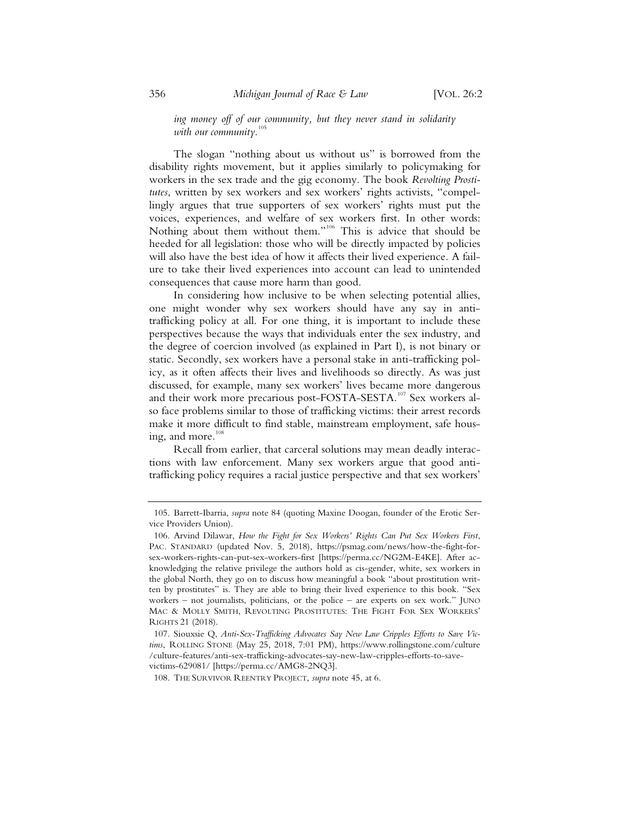*ing money off of our community, but they never stand in solidarity with our community*. 105

The slogan "nothing about us without us" is borrowed from the disability rights movement, but it applies similarly to policymaking for workers in the sex trade and the gig economy. The book *Revolting Prostitutes*, written by sex workers and sex workers' rights activists, "compellingly argues that true supporters of sex workers' rights must put the voices, experiences, and welfare of sex workers first. In other words: Nothing about them without them."<sup>106</sup> This is advice that should be heeded for all legislation: those who will be directly impacted by policies will also have the best idea of how it affects their lived experience. A failure to take their lived experiences into account can lead to unintended consequences that cause more harm than good.

In considering how inclusive to be when selecting potential allies, one might wonder why sex workers should have any say in antitrafficking policy at all. For one thing, it is important to include these perspectives because the ways that individuals enter the sex industry, and the degree of coercion involved (as explained in Part I), is not binary or static. Secondly, sex workers have a personal stake in anti-trafficking policy, as it often affects their lives and livelihoods so directly. As was just discussed, for example, many sex workers' lives became more dangerous and their work more precarious post-FOSTA-SESTA.<sup>107</sup> Sex workers also face problems similar to those of trafficking victims: their arrest records make it more difficult to find stable, mainstream employment, safe housing, and more.<sup>11</sup>

Recall from earlier, that carceral solutions may mean deadly interactions with law enforcement. Many sex workers argue that good antitrafficking policy requires a racial justice perspective and that sex workers'

<sup>105.</sup> Barrett-Ibarria, *supra* note 84 (quoting Maxine Doogan, founder of the Erotic Service Providers Union).

<sup>106.</sup> Arvind Dilawar, *How the Fight for Sex Workers' Rights Can Put Sex Workers First*, PAC. STANDARD (updated Nov. 5, 2018), https://psmag.com/news/how-the-fight-forsex-workers-rights-can-put-sex-workers-first [https://perma.cc/NG2M-E4KE]. After acknowledging the relative privilege the authors hold as cis-gender, white, sex workers in the global North, they go on to discuss how meaningful a book "about prostitution written by prostitutes" is. They are able to bring their lived experience to this book. "Sex workers – not journalists, politicians, or the police – are experts on sex work." JUNO MAC & MOLLY SMITH, REVOLTING PROSTITUTES: THE FIGHT FOR SEX WORKERS' RIGHTS 21 (2018).

<sup>107.</sup> Siouxsie Q, *Anti-Sex-Trafficking Advocates Say New Law Cripples Efforts to Save Victims*, ROLLING STONE (May 25, 2018, 7:01 PM), https://www.rollingstone.com/culture /culture-features/anti-sex-trafficking-advocates-say-new-law-cripples-efforts-to-savevictims-629081/ [https://perma.cc/AMG8-2NQ3].

<sup>108.</sup> THE SURVIVOR REENTRY PROJECT, *supra* note 45, at 6.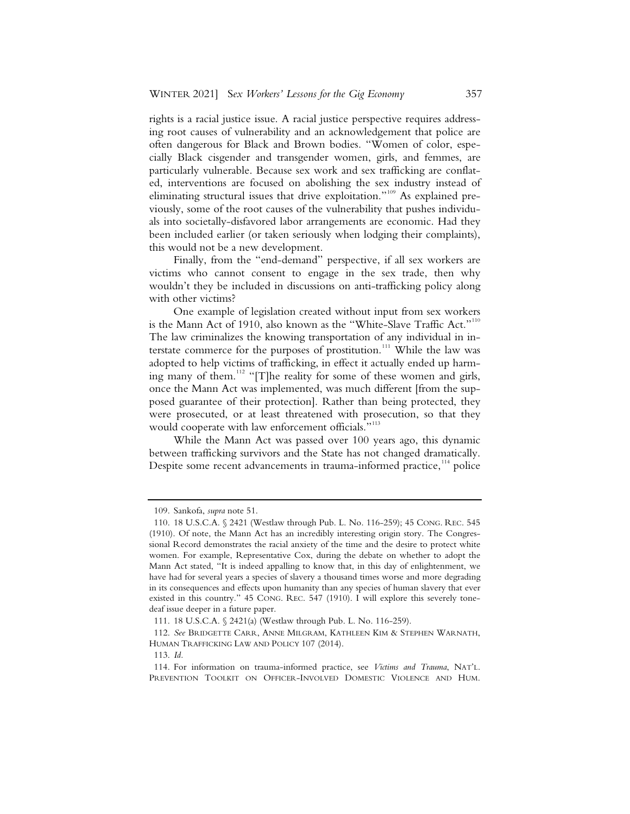rights is a racial justice issue. A racial justice perspective requires addressing root causes of vulnerability and an acknowledgement that police are often dangerous for Black and Brown bodies. "Women of color, especially Black cisgender and transgender women, girls, and femmes, are particularly vulnerable. Because sex work and sex trafficking are conflated, interventions are focused on abolishing the sex industry instead of eliminating structural issues that drive exploitation."<sup>109</sup> As explained previously, some of the root causes of the vulnerability that pushes individuals into societally-disfavored labor arrangements are economic. Had they been included earlier (or taken seriously when lodging their complaints), this would not be a new development.

Finally, from the "end-demand" perspective, if all sex workers are victims who cannot consent to engage in the sex trade, then why wouldn't they be included in discussions on anti-trafficking policy along with other victims?

One example of legislation created without input from sex workers is the Mann Act of 1910, also known as the "White-Slave Traffic Act."<sup>110</sup> The law criminalizes the knowing transportation of any individual in interstate commerce for the purposes of prostitution.<sup>111</sup> While the law was adopted to help victims of trafficking, in effect it actually ended up harming many of them.<sup>112</sup> "[T]he reality for some of these women and girls, once the Mann Act was implemented, was much different [from the supposed guarantee of their protection]. Rather than being protected, they were prosecuted, or at least threatened with prosecution, so that they would cooperate with law enforcement officials."<sup>113</sup>

While the Mann Act was passed over 100 years ago, this dynamic between trafficking survivors and the State has not changed dramatically. Despite some recent advancements in trauma-informed practice,<sup>114</sup> police

 <sup>109.</sup> Sankofa, *supra* note 51.

 <sup>110. 18</sup> U.S.C.A. § 2421 (Westlaw through Pub. L. No. 116-259); 45 CONG. REC. 545 (1910). Of note, the Mann Act has an incredibly interesting origin story. The Congressional Record demonstrates the racial anxiety of the time and the desire to protect white women. For example, Representative Cox, during the debate on whether to adopt the Mann Act stated, "It is indeed appalling to know that, in this day of enlightenment, we have had for several years a species of slavery a thousand times worse and more degrading in its consequences and effects upon humanity than any species of human slavery that ever existed in this country." 45 CONG. REC. 547 (1910). I will explore this severely tonedeaf issue deeper in a future paper.

 <sup>111. 18</sup> U.S.C.A. § 2421(a) (Westlaw through Pub. L. No. 116-259).

 <sup>112.</sup> *See* BRIDGETTE CARR, ANNE MILGRAM, KATHLEEN KIM & STEPHEN WARNATH, HUMAN TRAFFICKING LAW AND POLICY 107 (2014).

 <sup>113.</sup> *Id.* 

 <sup>114.</sup> For information on trauma-informed practice, see *Victims and Trauma*, NAT'L. PREVENTION TOOLKIT ON OFFICER-INVOLVED DOMESTIC VIOLENCE AND HUM.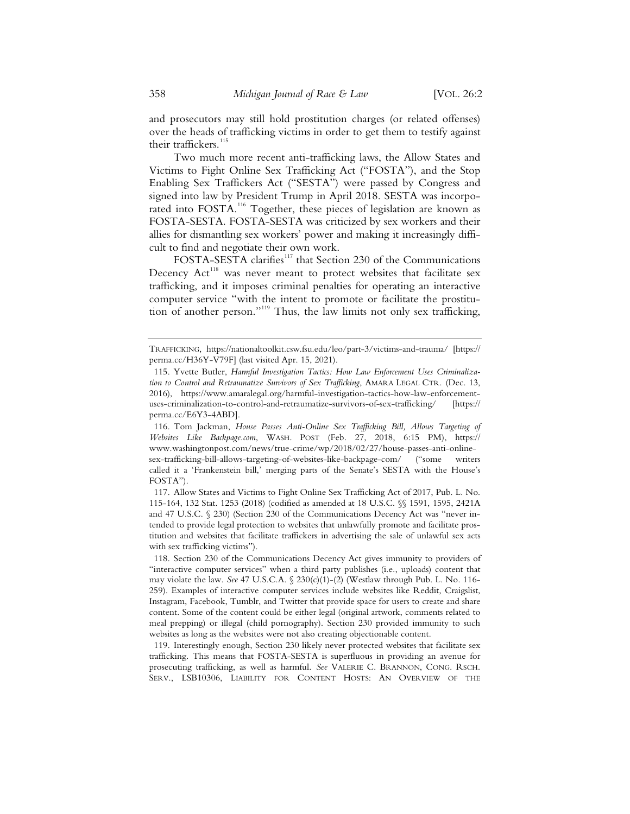and prosecutors may still hold prostitution charges (or related offenses) over the heads of trafficking victims in order to get them to testify against their traffickers.<sup>115</sup>

Two much more recent anti-trafficking laws, the Allow States and Victims to Fight Online Sex Trafficking Act ("FOSTA"), and the Stop Enabling Sex Traffickers Act ("SESTA") were passed by Congress and signed into law by President Trump in April 2018. SESTA was incorporated into FOSTA.<sup>116</sup> Together, these pieces of legislation are known as FOSTA-SESTA. FOSTA-SESTA was criticized by sex workers and their allies for dismantling sex workers' power and making it increasingly difficult to find and negotiate their own work.

FOSTA-SESTA clarifies<sup>117</sup> that Section 230 of the Communications Decency Act<sup>118</sup> was never meant to protect websites that facilitate sex trafficking, and it imposes criminal penalties for operating an interactive computer service "with the intent to promote or facilitate the prostitution of another person."<sup>119</sup> Thus, the law limits not only sex trafficking,

116. Tom Jackman, *House Passes Anti-Online Sex Trafficking Bill, Allows Targeting of Websites Like Backpage.com*, WASH. POST (Feb. 27, 2018, 6:15 PM), https:// www.washingtonpost.com/news/true-crime/wp/2018/02/27/house-passes-anti-onlinesex-trafficking-bill-allows-targeting-of-websites-like-backpage-com/ ("some writers called it a 'Frankenstein bill,' merging parts of the Senate's SESTA with the House's FOSTA").

117. Allow States and Victims to Fight Online Sex Trafficking Act of 2017, Pub. L. No. 115-164, 132 Stat. 1253 (2018) (codified as amended at 18 U.S.C. §§ 1591, 1595, 2421A and 47 U.S.C. § 230) (Section 230 of the Communications Decency Act was "never intended to provide legal protection to websites that unlawfully promote and facilitate prostitution and websites that facilitate traffickers in advertising the sale of unlawful sex acts with sex trafficking victims").

118. Section 230 of the Communications Decency Act gives immunity to providers of "interactive computer services" when a third party publishes (i.e., uploads) content that may violate the law. *See* 47 U.S.C.A.  $\frac{230(c)(1)-2}{2}$  (Westlaw through Pub. L. No. 116-259). Examples of interactive computer services include websites like Reddit, Craigslist, Instagram, Facebook, Tumblr, and Twitter that provide space for users to create and share content. Some of the content could be either legal (original artwork, comments related to meal prepping) or illegal (child pornography). Section 230 provided immunity to such websites as long as the websites were not also creating objectionable content.

119. Interestingly enough, Section 230 likely never protected websites that facilitate sex trafficking. This means that FOSTA-SESTA is superfluous in providing an avenue for prosecuting trafficking, as well as harmful. *See* VALERIE C. BRANNON, CONG. RSCH. SERV., LSB10306, LIABILITY FOR CONTENT HOSTS: AN OVERVIEW OF THE

TRAFFICKING, https://nationaltoolkit.csw.fsu.edu/leo/part-3/victims-and-trauma/ [https:// perma.cc/H36Y-V79F] (last visited Apr. 15, 2021).

<sup>115.</sup> Yvette Butler, *Harmful Investigation Tactics: How Law Enforcement Uses Criminalization to Control and Retraumatize Survivors of Sex Trafficking*, AMARA LEGAL CTR. (Dec. 13, 2016), https://www.amaralegal.org/harmful-investigation-tactics-how-law-enforcementuses-criminalization-to-control-and-retraumatize-survivors-of-sex-trafficking/ [https:// perma.cc/E6Y3-4ABD].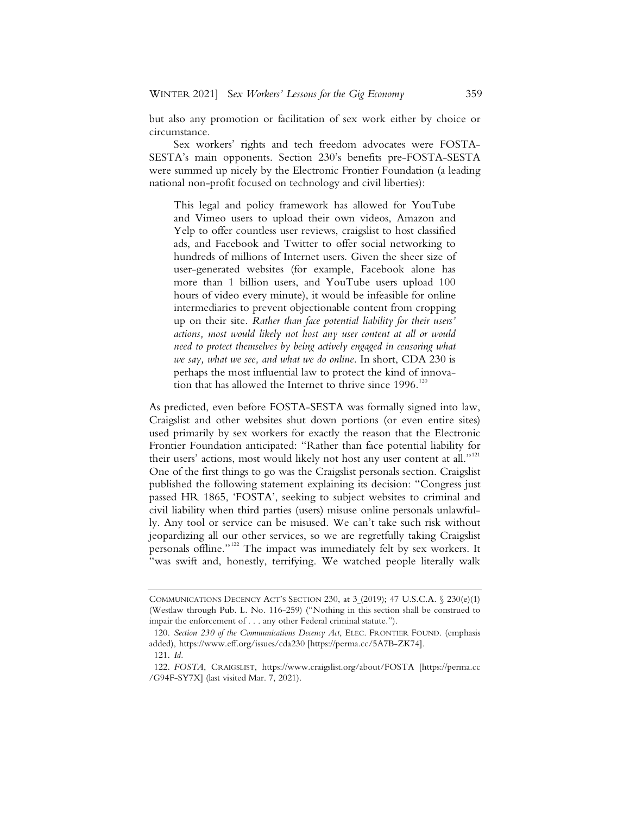but also any promotion or facilitation of sex work either by choice or circumstance.

Sex workers' rights and tech freedom advocates were FOSTA-SESTA's main opponents. Section 230's benefits pre-FOSTA-SESTA were summed up nicely by the Electronic Frontier Foundation (a leading national non-profit focused on technology and civil liberties):

This legal and policy framework has allowed for YouTube and Vimeo users to upload their own videos, Amazon and Yelp to offer countless user reviews, craigslist to host classified ads, and Facebook and Twitter to offer social networking to hundreds of millions of Internet users. Given the sheer size of user-generated websites (for example, Facebook alone has more than 1 billion users, and YouTube users upload 100 hours of video every minute), it would be infeasible for online intermediaries to prevent objectionable content from cropping up on their site. *Rather than face potential liability for their users' actions, most would likely not host any user content at all or would need to protect themselves by being actively engaged in censoring what we say, what we see, and what we do online.* In short, CDA 230 is perhaps the most influential law to protect the kind of innovation that has allowed the Internet to thrive since  $1996$ .<sup>120</sup>

As predicted, even before FOSTA-SESTA was formally signed into law, Craigslist and other websites shut down portions (or even entire sites) used primarily by sex workers for exactly the reason that the Electronic Frontier Foundation anticipated: "Rather than face potential liability for their users' actions, most would likely not host any user content at all."<sup>121</sup> One of the first things to go was the Craigslist personals section. Craigslist published the following statement explaining its decision: "Congress just passed HR 1865, 'FOSTA', seeking to subject websites to criminal and civil liability when third parties (users) misuse online personals unlawfully. Any tool or service can be misused. We can't take such risk without jeopardizing all our other services, so we are regretfully taking Craigslist personals offline."<sup>122</sup> The impact was immediately felt by sex workers. It "was swift and, honestly, terrifying. We watched people literally walk

COMMUNICATIONS DECENCY ACT'S SECTION 230, at 3 (2019); 47 U.S.C.A. § 230(e)(1) (Westlaw through Pub. L. No. 116-259) ("Nothing in this section shall be construed to impair the enforcement of . . . any other Federal criminal statute.").

<sup>120.</sup> *Section 230 of the Communications Decency Act*, ELEC. FRONTIER FOUND. (emphasis added), https://www.eff.org/issues/cda230 [https://perma.cc/5A7B-ZK74].

<sup>121.</sup> *Id.*

<sup>122.</sup> *FOSTA*, CRAIGSLIST, https://www.craigslist.org/about/FOSTA [https://perma.cc /G94F-SY7X] (last visited Mar. 7, 2021).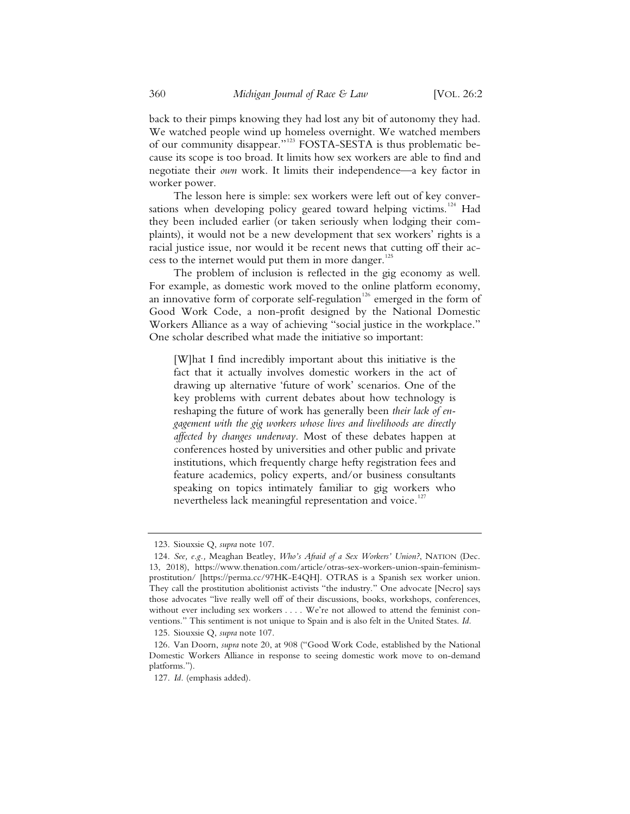back to their pimps knowing they had lost any bit of autonomy they had. We watched people wind up homeless overnight. We watched members of our community disappear."<sup>123</sup> FOSTA-SESTA is thus problematic because its scope is too broad. It limits how sex workers are able to find and negotiate their *own* work. It limits their independence—a key factor in worker power.

The lesson here is simple: sex workers were left out of key conversations when developing policy geared toward helping victims.<sup>124</sup> Had they been included earlier (or taken seriously when lodging their complaints), it would not be a new development that sex workers' rights is a racial justice issue, nor would it be recent news that cutting off their access to the internet would put them in more danger.<sup>125</sup>

The problem of inclusion is reflected in the gig economy as well. For example, as domestic work moved to the online platform economy, an innovative form of corporate self-regulation<sup>126</sup> emerged in the form of Good Work Code, a non-profit designed by the National Domestic Workers Alliance as a way of achieving "social justice in the workplace." One scholar described what made the initiative so important:

[W]hat I find incredibly important about this initiative is the fact that it actually involves domestic workers in the act of drawing up alternative 'future of work' scenarios. One of the key problems with current debates about how technology is reshaping the future of work has generally been *their lack of engagement with the gig workers whose lives and livelihoods are directly affected by changes underway.* Most of these debates happen at conferences hosted by universities and other public and private institutions, which frequently charge hefty registration fees and feature academics, policy experts, and/or business consultants speaking on topics intimately familiar to gig workers who nevertheless lack meaningful representation and voice.<sup>127</sup>

<sup>123.</sup> Siouxsie Q, *supra* note 107.

<sup>124.</sup> *See, e.g.,* Meaghan Beatley, *Who's Afraid of a Sex Workers' Union?*, NATION (Dec. 13, 2018), https://www.thenation.com/article/otras-sex-workers-union-spain-feminismprostitution/ [https://perma.cc/97HK-E4QH]. OTRAS is a Spanish sex worker union. They call the prostitution abolitionist activists "the industry." One advocate [Necro] says those advocates "live really well off of their discussions, books, workshops, conferences, without ever including sex workers . . . . We're not allowed to attend the feminist conventions." This sentiment is not unique to Spain and is also felt in the United States. *Id.*

<sup>125.</sup> Siouxsie Q, *supra* note 107.

<sup>126.</sup> Van Doorn, *supra* note 20, at 908 ("Good Work Code, established by the National Domestic Workers Alliance in response to seeing domestic work move to on-demand platforms.").

<sup>127.</sup> *Id.* (emphasis added).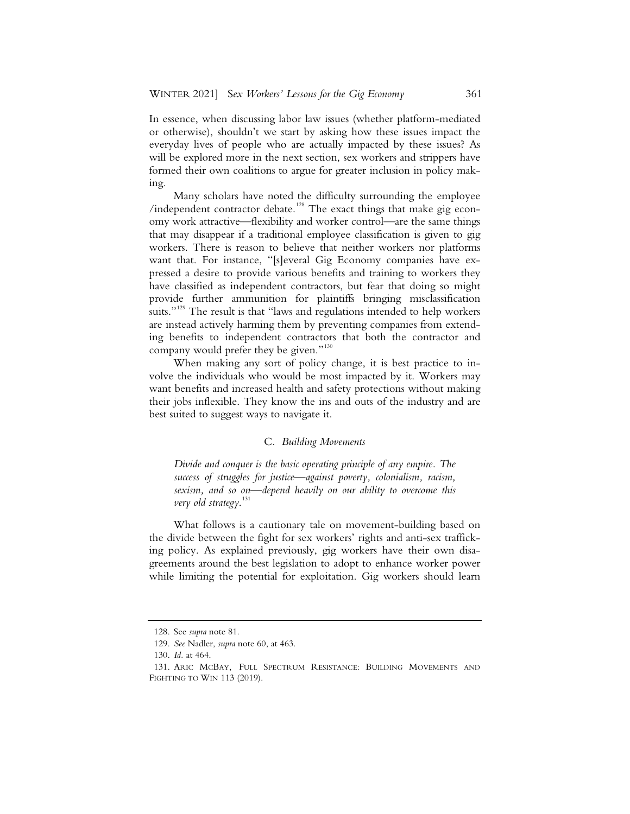In essence, when discussing labor law issues (whether platform-mediated or otherwise), shouldn't we start by asking how these issues impact the everyday lives of people who are actually impacted by these issues? As will be explored more in the next section, sex workers and strippers have formed their own coalitions to argue for greater inclusion in policy making.

Many scholars have noted the difficulty surrounding the employee /independent contractor debate.<sup>128</sup> The exact things that make gig economy work attractive—flexibility and worker control—are the same things that may disappear if a traditional employee classification is given to gig workers. There is reason to believe that neither workers nor platforms want that. For instance, "[s]everal Gig Economy companies have expressed a desire to provide various benefits and training to workers they have classified as independent contractors, but fear that doing so might provide further ammunition for plaintiffs bringing misclassification suits."<sup>129</sup> The result is that "laws and regulations intended to help workers are instead actively harming them by preventing companies from extending benefits to independent contractors that both the contractor and company would prefer they be given."<sup>130</sup>

When making any sort of policy change, it is best practice to involve the individuals who would be most impacted by it. Workers may want benefits and increased health and safety protections without making their jobs inflexible. They know the ins and outs of the industry and are best suited to suggest ways to navigate it.

#### C. *Building Movements*

*Divide and conquer is the basic operating principle of any empire. The success of struggles for justice—against poverty, colonialism, racism, sexism, and so on—depend heavily on our ability to overcome this very old strategy*. 131

What follows is a cautionary tale on movement-building based on the divide between the fight for sex workers' rights and anti-sex trafficking policy. As explained previously, gig workers have their own disagreements around the best legislation to adopt to enhance worker power while limiting the potential for exploitation. Gig workers should learn

<sup>128.</sup> See *supra* note 81.

<sup>129.</sup> *See* Nadler, *supra* note 60, at 463.

<sup>130.</sup> *Id.* at 464.

<sup>131.</sup> ARIC MCBAY, FULL SPECTRUM RESISTANCE: BUILDING MOVEMENTS AND FIGHTING TO WIN 113 (2019).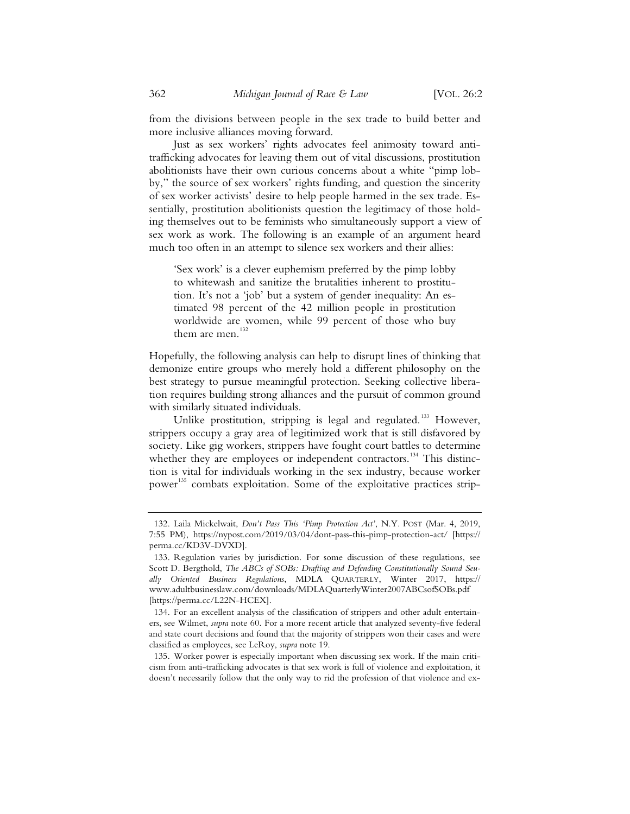from the divisions between people in the sex trade to build better and more inclusive alliances moving forward.

Just as sex workers' rights advocates feel animosity toward antitrafficking advocates for leaving them out of vital discussions, prostitution abolitionists have their own curious concerns about a white "pimp lobby," the source of sex workers' rights funding, and question the sincerity of sex worker activists' desire to help people harmed in the sex trade. Essentially, prostitution abolitionists question the legitimacy of those holding themselves out to be feminists who simultaneously support a view of sex work as work. The following is an example of an argument heard much too often in an attempt to silence sex workers and their allies:

'Sex work' is a clever euphemism preferred by the pimp lobby to whitewash and sanitize the brutalities inherent to prostitution. It's not a 'job' but a system of gender inequality: An estimated 98 percent of the 42 million people in prostitution worldwide are women, while 99 percent of those who buy them are men. $132$ 

Hopefully, the following analysis can help to disrupt lines of thinking that demonize entire groups who merely hold a different philosophy on the best strategy to pursue meaningful protection. Seeking collective liberation requires building strong alliances and the pursuit of common ground with similarly situated individuals.

Unlike prostitution, stripping is legal and regulated.<sup>133</sup> However, strippers occupy a gray area of legitimized work that is still disfavored by society. Like gig workers, strippers have fought court battles to determine whether they are employees or independent contractors.<sup>134</sup> This distinction is vital for individuals working in the sex industry, because worker power<sup>135</sup> combats exploitation. Some of the exploitative practices strip-

135. Worker power is especially important when discussing sex work. If the main criticism from anti-trafficking advocates is that sex work is full of violence and exploitation, it doesn't necessarily follow that the only way to rid the profession of that violence and ex-

<sup>132.</sup> Laila Mickelwait, *Don't Pass This 'Pimp Protection Act'*, N.Y. POST (Mar. 4, 2019, 7:55 PM), https://nypost.com/2019/03/04/dont-pass-this-pimp-protection-act/ [https:// perma.cc/KD3V-DVXD].

<sup>133.</sup> Regulation varies by jurisdiction. For some discussion of these regulations, see Scott D. Bergthold, *The ABCs of SOBs: Drafting and Defending Constitutionally Sound Seually Oriented Business Regulations*, MDLA QUARTERLY, Winter 2017, https:// www.adultbusinesslaw.com/downloads/MDLAQuarterlyWinter2007ABCsofSOBs.pdf [https://perma.cc/L22N-HCEX].

<sup>134.</sup> For an excellent analysis of the classification of strippers and other adult entertainers, see Wilmet, *supra* note 60. For a more recent article that analyzed seventy-five federal and state court decisions and found that the majority of strippers won their cases and were classified as employees, see LeRoy, *supra* note 19.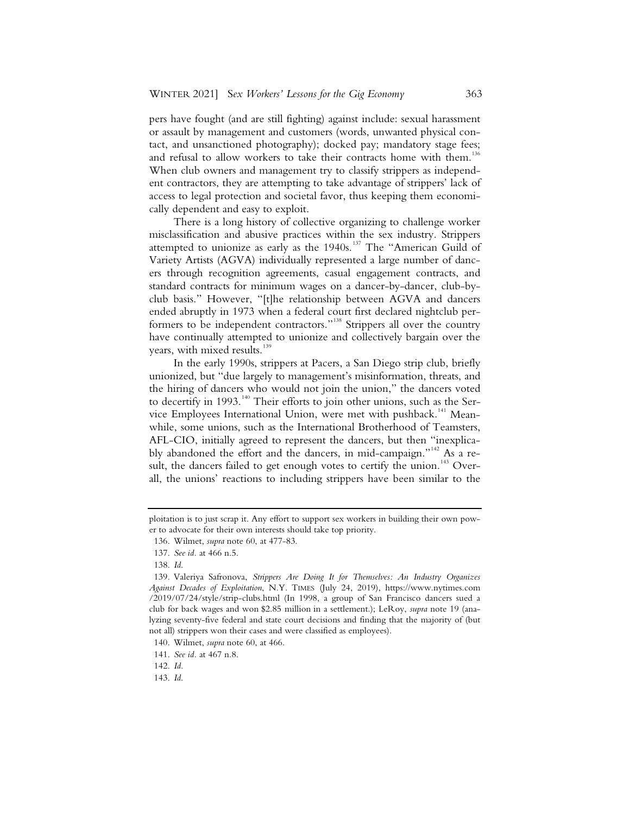pers have fought (and are still fighting) against include: sexual harassment or assault by management and customers (words, unwanted physical contact, and unsanctioned photography); docked pay; mandatory stage fees; and refusal to allow workers to take their contracts home with them.<sup>13</sup> When club owners and management try to classify strippers as independent contractors, they are attempting to take advantage of strippers' lack of access to legal protection and societal favor, thus keeping them economically dependent and easy to exploit.

There is a long history of collective organizing to challenge worker misclassification and abusive practices within the sex industry. Strippers attempted to unionize as early as the  $1940s$ .<sup>137</sup> The "American Guild of Variety Artists (AGVA) individually represented a large number of dancers through recognition agreements, casual engagement contracts, and standard contracts for minimum wages on a dancer-by-dancer, club-byclub basis." However, "[t]he relationship between AGVA and dancers ended abruptly in 1973 when a federal court first declared nightclub performers to be independent contractors."<sup>138</sup> Strippers all over the country have continually attempted to unionize and collectively bargain over the years, with mixed results.<sup>139</sup>

In the early 1990s, strippers at Pacers, a San Diego strip club, briefly unionized, but "due largely to management's misinformation, threats, and the hiring of dancers who would not join the union," the dancers voted to decertify in 1993.<sup>140</sup> Their efforts to join other unions, such as the Service Employees International Union, were met with pushback.<sup>141</sup> Meanwhile, some unions, such as the International Brotherhood of Teamsters, AFL-CIO, initially agreed to represent the dancers, but then "inexplicably abandoned the effort and the dancers, in mid-campaign."<sup>142</sup> As a result, the dancers failed to get enough votes to certify the union.<sup>143</sup> Overall, the unions' reactions to including strippers have been similar to the

142. *Id.*

ploitation is to just scrap it. Any effort to support sex workers in building their own power to advocate for their own interests should take top priority.

 <sup>136.</sup> Wilmet, *supra* note 60, at 477-83.

 <sup>137.</sup> *See id.* at 466 n.5.

 <sup>138.</sup> *Id.*

 <sup>139.</sup> Valeriya Safronova, *Strippers Are Doing It for Themselves: An Industry Organizes Against Decades of Exploitation*, N.Y. TIMES (July 24, 2019), https://www.nytimes.com /2019/07/24/style/strip-clubs.html (In 1998, a group of San Francisco dancers sued a club for back wages and won \$2.85 million in a settlement.); LeRoy, *supra* note 19 (analyzing seventy-five federal and state court decisions and finding that the majority of (but not all) strippers won their cases and were classified as employees).

 <sup>140.</sup> Wilmet, *supra* note 60, at 466.

 <sup>141.</sup> *See id.* at 467 n.8.

 <sup>143.</sup> *Id.*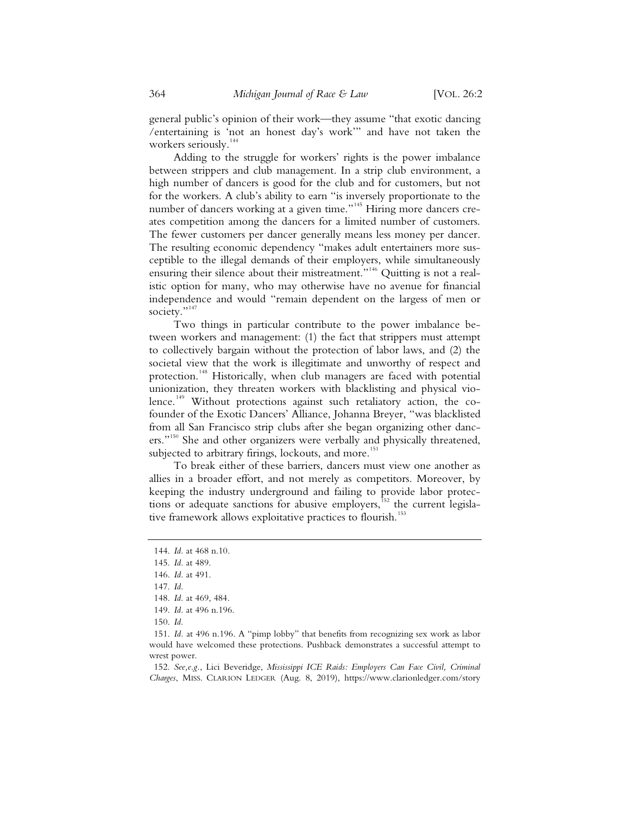general public's opinion of their work—they assume "that exotic dancing /entertaining is 'not an honest day's work'" and have not taken the workers seriously.<sup>144</sup>

Adding to the struggle for workers' rights is the power imbalance between strippers and club management. In a strip club environment, a high number of dancers is good for the club and for customers, but not for the workers. A club's ability to earn "is inversely proportionate to the number of dancers working at a given time."<sup>145</sup> Hiring more dancers creates competition among the dancers for a limited number of customers. The fewer customers per dancer generally means less money per dancer. The resulting economic dependency "makes adult entertainers more susceptible to the illegal demands of their employers, while simultaneously ensuring their silence about their mistreatment."<sup>146</sup> Quitting is not a realistic option for many, who may otherwise have no avenue for financial independence and would "remain dependent on the largess of men or society."<sup>147</sup>

Two things in particular contribute to the power imbalance between workers and management: (1) the fact that strippers must attempt to collectively bargain without the protection of labor laws, and (2) the societal view that the work is illegitimate and unworthy of respect and protection.<sup>148</sup> Historically, when club managers are faced with potential unionization, they threaten workers with blacklisting and physical violence.<sup>149</sup> Without protections against such retaliatory action, the cofounder of the Exotic Dancers' Alliance, Johanna Breyer, "was blacklisted from all San Francisco strip clubs after she began organizing other dancers."<sup>150</sup> She and other organizers were verbally and physically threatened, subjected to arbitrary firings, lockouts, and more.<sup>151</sup>

To break either of these barriers, dancers must view one another as allies in a broader effort, and not merely as competitors. Moreover, by keeping the industry underground and failing to provide labor protections or adequate sanctions for abusive employers,<sup>152</sup> the current legislative framework allows exploitative practices to flourish.<sup>153</sup>

 152. *See,e.g.*, Lici Beveridge, *Mississippi ICE Raids: Employers Can Face Civil, Criminal Charges*, MISS. CLARION LEDGER (Aug. 8, 2019), https://www.clarionledger.com/story

 <sup>144.</sup> *Id.* at 468 n.10.

 <sup>145.</sup> *Id.* at 489.

 <sup>146.</sup> *Id.* at 491.

 <sup>147.</sup> *Id.*

 <sup>148.</sup> *Id.* at 469, 484.

 <sup>149.</sup> *Id.* at 496 n.196.

 <sup>150.</sup> *Id.*

 <sup>151.</sup> *Id.* at 496 n.196. A "pimp lobby" that benefits from recognizing sex work as labor would have welcomed these protections. Pushback demonstrates a successful attempt to wrest power.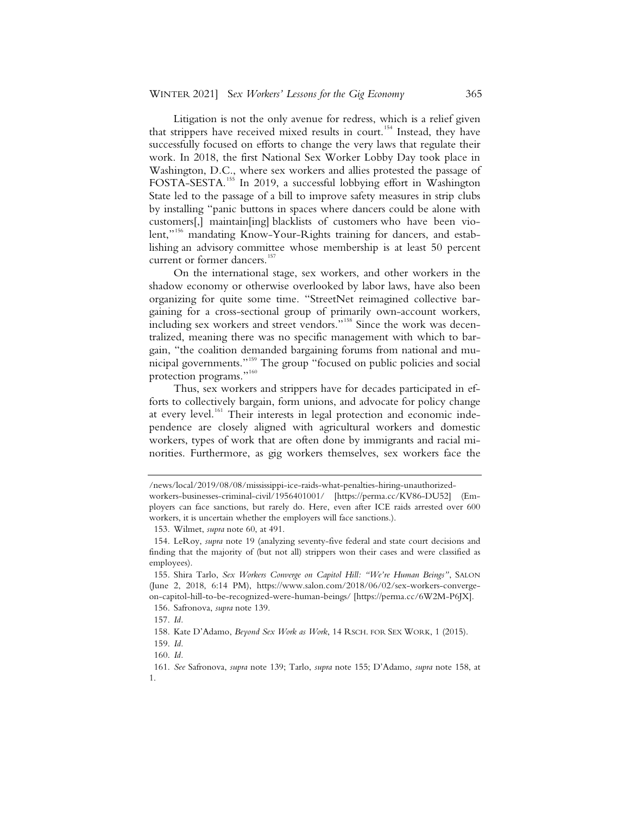Litigation is not the only avenue for redress, which is a relief given that strippers have received mixed results in court.<sup>154</sup> Instead, they have successfully focused on efforts to change the very laws that regulate their work. In 2018, the first National Sex Worker Lobby Day took place in Washington, D.C., where sex workers and allies protested the passage of FOSTA-SESTA.<sup>155</sup> In 2019, a successful lobbying effort in Washington State led to the passage of a bill to improve safety measures in strip clubs by installing "panic buttons in spaces where dancers could be alone with customers[,] maintain[ing] blacklists of customers who have been violent,"<sup>156</sup> mandating Know-Your-Rights training for dancers, and establishing an advisory committee whose membership is at least 50 percent current or former dancers.<sup>157</sup>

On the international stage, sex workers, and other workers in the shadow economy or otherwise overlooked by labor laws, have also been organizing for quite some time. "StreetNet reimagined collective bargaining for a cross-sectional group of primarily own-account workers, including sex workers and street vendors."<sup>158</sup> Since the work was decentralized, meaning there was no specific management with which to bargain, "the coalition demanded bargaining forums from national and municipal governments."159 The group "focused on public policies and social protection programs."<sup>160</sup>

Thus, sex workers and strippers have for decades participated in efforts to collectively bargain, form unions, and advocate for policy change at every level.<sup>161</sup> Their interests in legal protection and economic independence are closely aligned with agricultural workers and domestic workers, types of work that are often done by immigrants and racial minorities. Furthermore, as gig workers themselves, sex workers face the

<sup>/</sup>news/local/2019/08/08/mississippi-ice-raids-what-penalties-hiring-unauthorizedworkers-businesses-criminal-civil/1956401001/ [https://perma.cc/KV86-DU52] (Employers can face sanctions, but rarely do. Here, even after ICE raids arrested over 600 workers, it is uncertain whether the employers will face sanctions.).

 <sup>153.</sup> Wilmet, *supra* note 60, at 491.

 <sup>154.</sup> LeRoy, *supra* note 19 (analyzing seventy-five federal and state court decisions and finding that the majority of (but not all) strippers won their cases and were classified as employees).

 <sup>155.</sup> Shira Tarlo, *Sex Workers Converge on Capitol Hill: "We're Human Beings"*, SALON (June 2, 2018, 6:14 PM), https://www.salon.com/2018/06/02/sex-workers-convergeon-capitol-hill-to-be-recognized-were-human-beings/ [https://perma.cc/6W2M-P6JX].

 <sup>156.</sup> Safronova, *supra* note 139.

 <sup>157.</sup> *Id.*

 <sup>158.</sup> Kate D'Adamo, *Beyond Sex Work as Work*, 14 RSCH. FOR SEX WORK, 1 (2015).

 <sup>159.</sup> *Id.* 

 <sup>160.</sup> *Id.*

 <sup>161.</sup> *See* Safronova, *supra* note 139; Tarlo, *supra* note 155; D'Adamo, *supra* note 158, at 1.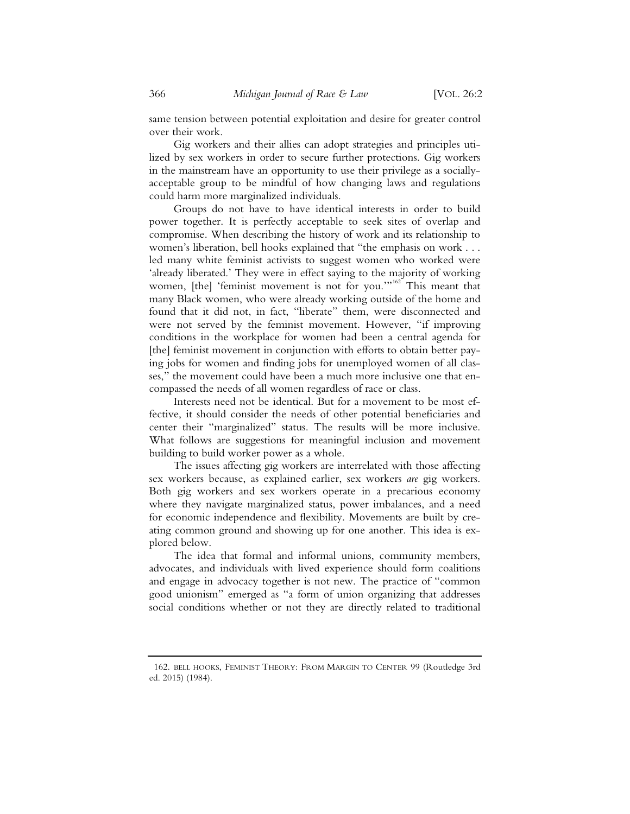same tension between potential exploitation and desire for greater control over their work.

Gig workers and their allies can adopt strategies and principles utilized by sex workers in order to secure further protections. Gig workers in the mainstream have an opportunity to use their privilege as a sociallyacceptable group to be mindful of how changing laws and regulations could harm more marginalized individuals.

Groups do not have to have identical interests in order to build power together. It is perfectly acceptable to seek sites of overlap and compromise. When describing the history of work and its relationship to women's liberation, bell hooks explained that "the emphasis on work . . . led many white feminist activists to suggest women who worked were 'already liberated.' They were in effect saying to the majority of working women, [the] 'feminist movement is not for you.'"<sup>162</sup> This meant that many Black women, who were already working outside of the home and found that it did not, in fact, "liberate" them, were disconnected and were not served by the feminist movement. However, "if improving conditions in the workplace for women had been a central agenda for [the] feminist movement in conjunction with efforts to obtain better paying jobs for women and finding jobs for unemployed women of all classes," the movement could have been a much more inclusive one that encompassed the needs of all women regardless of race or class.

Interests need not be identical. But for a movement to be most effective, it should consider the needs of other potential beneficiaries and center their "marginalized" status. The results will be more inclusive. What follows are suggestions for meaningful inclusion and movement building to build worker power as a whole.

The issues affecting gig workers are interrelated with those affecting sex workers because, as explained earlier, sex workers *are* gig workers. Both gig workers and sex workers operate in a precarious economy where they navigate marginalized status, power imbalances, and a need for economic independence and flexibility. Movements are built by creating common ground and showing up for one another. This idea is explored below.

The idea that formal and informal unions, community members, advocates, and individuals with lived experience should form coalitions and engage in advocacy together is not new. The practice of "common good unionism" emerged as "a form of union organizing that addresses social conditions whether or not they are directly related to traditional

 <sup>162.</sup> BELL HOOKS, FEMINIST THEORY: FROM MARGIN TO CENTER 99 (Routledge 3rd ed. 2015) (1984).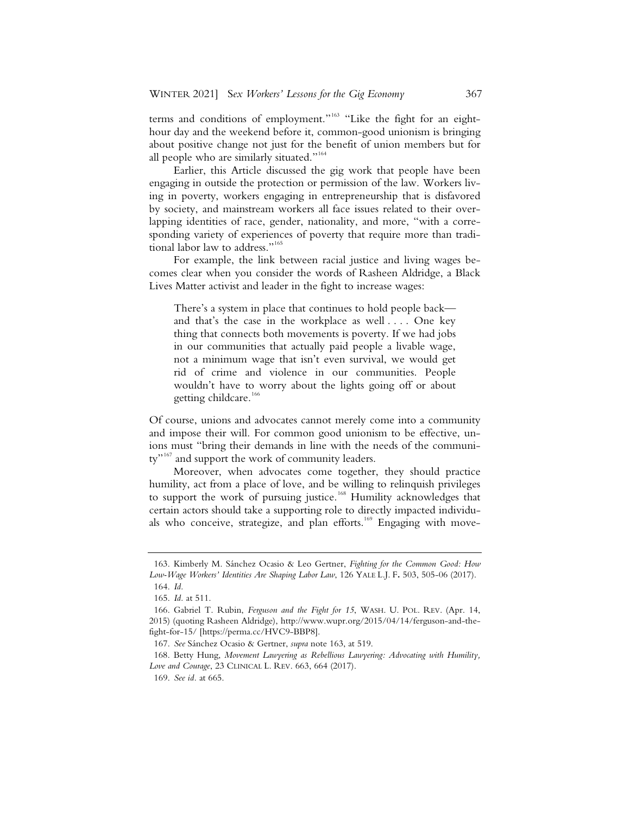terms and conditions of employment."<sup>163</sup> "Like the fight for an eighthour day and the weekend before it, common-good unionism is bringing about positive change not just for the benefit of union members but for all people who are similarly situated."<sup>164</sup>

Earlier, this Article discussed the gig work that people have been engaging in outside the protection or permission of the law. Workers living in poverty, workers engaging in entrepreneurship that is disfavored by society, and mainstream workers all face issues related to their overlapping identities of race, gender, nationality, and more, "with a corresponding variety of experiences of poverty that require more than traditional labor law to address."<sup>165</sup>

For example, the link between racial justice and living wages becomes clear when you consider the words of Rasheen Aldridge, a Black Lives Matter activist and leader in the fight to increase wages:

There's a system in place that continues to hold people back and that's the case in the workplace as well . . . . One key thing that connects both movements is poverty. If we had jobs in our communities that actually paid people a livable wage, not a minimum wage that isn't even survival, we would get rid of crime and violence in our communities. People wouldn't have to worry about the lights going off or about getting childcare.<sup>166</sup>

Of course, unions and advocates cannot merely come into a community and impose their will. For common good unionism to be effective, unions must "bring their demands in line with the needs of the community"<sup>167</sup> and support the work of community leaders.

Moreover, when advocates come together, they should practice humility, act from a place of love, and be willing to relinquish privileges to support the work of pursuing justice.<sup>168</sup> Humility acknowledges that certain actors should take a supporting role to directly impacted individuals who conceive, strategize, and plan efforts.<sup>169</sup> Engaging with move-

 <sup>163.</sup> Kimberly M. Sánchez Ocasio & Leo Gertner, *Fighting for the Common Good: How Low-Wage Workers' Identities Are Shaping Labor Law*, 126 YALE L.J. F**.** 503, 505-06 (2017).

 <sup>164.</sup> *Id.*

 <sup>165.</sup> *Id.* at 511.

 <sup>166.</sup> Gabriel T. Rubin, *Ferguson and the Fight for 15*, WASH. U. POL. REV. (Apr. 14, 2015) (quoting Rasheen Aldridge), http://www.wupr.org/2015/04/14/ferguson-and-thefight-for-15/ [https://perma.cc/HVC9-BBP8].

 <sup>167.</sup> *See* Sánchez Ocasio & Gertner, *supra* note 163, at 519.

 <sup>168.</sup> Betty Hung, *Movement Lawyering as Rebellious Lawyering: Advocating with Humility, Love and Courage*, 23 CLINICAL L. REV. 663, 664 (2017).

 <sup>169.</sup> *See id.* at 665.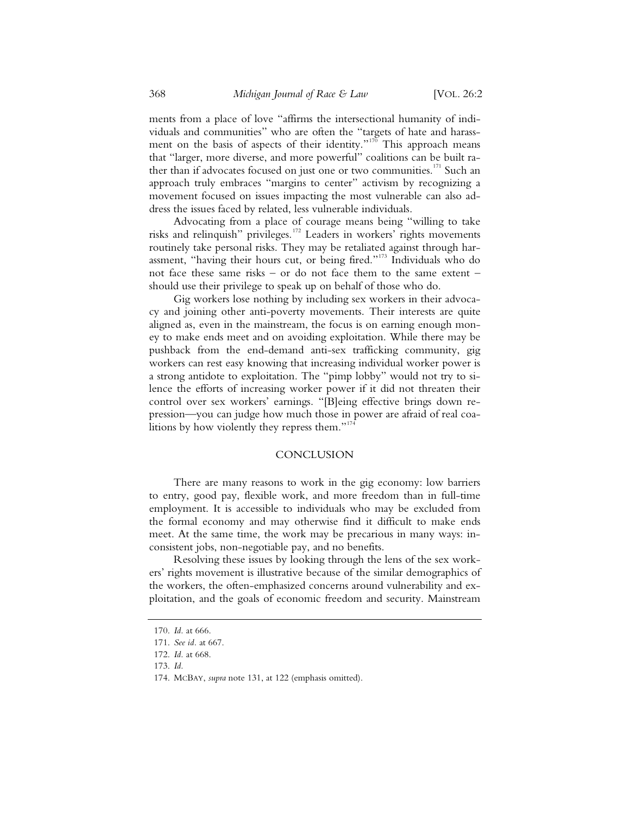ments from a place of love "affirms the intersectional humanity of individuals and communities" who are often the "targets of hate and harassment on the basis of aspects of their identity."<sup>170</sup> This approach means that "larger, more diverse, and more powerful" coalitions can be built rather than if advocates focused on just one or two communities.<sup>171</sup> Such an approach truly embraces "margins to center" activism by recognizing a movement focused on issues impacting the most vulnerable can also address the issues faced by related, less vulnerable individuals.

Advocating from a place of courage means being "willing to take risks and relinquish" privileges.172 Leaders in workers' rights movements routinely take personal risks. They may be retaliated against through harassment, "having their hours cut, or being fired."173 Individuals who do not face these same risks – or do not face them to the same extent – should use their privilege to speak up on behalf of those who do.

Gig workers lose nothing by including sex workers in their advocacy and joining other anti-poverty movements. Their interests are quite aligned as, even in the mainstream, the focus is on earning enough money to make ends meet and on avoiding exploitation. While there may be pushback from the end-demand anti-sex trafficking community, gig workers can rest easy knowing that increasing individual worker power is a strong antidote to exploitation. The "pimp lobby" would not try to silence the efforts of increasing worker power if it did not threaten their control over sex workers' earnings. "[B]eing effective brings down repression—you can judge how much those in power are afraid of real coalitions by how violently they repress them."<sup>174</sup>

#### **CONCLUSION**

There are many reasons to work in the gig economy: low barriers to entry, good pay, flexible work, and more freedom than in full-time employment. It is accessible to individuals who may be excluded from the formal economy and may otherwise find it difficult to make ends meet. At the same time, the work may be precarious in many ways: inconsistent jobs, non-negotiable pay, and no benefits.

Resolving these issues by looking through the lens of the sex workers' rights movement is illustrative because of the similar demographics of the workers, the often-emphasized concerns around vulnerability and exploitation, and the goals of economic freedom and security. Mainstream

174. MCBAY, *supra* note 131, at 122 (emphasis omitted).

 <sup>170.</sup> *Id.* at 666.

 <sup>171.</sup> *See id.* at 667.

 <sup>172.</sup> *Id.* at 668.

 <sup>173.</sup> *Id.*